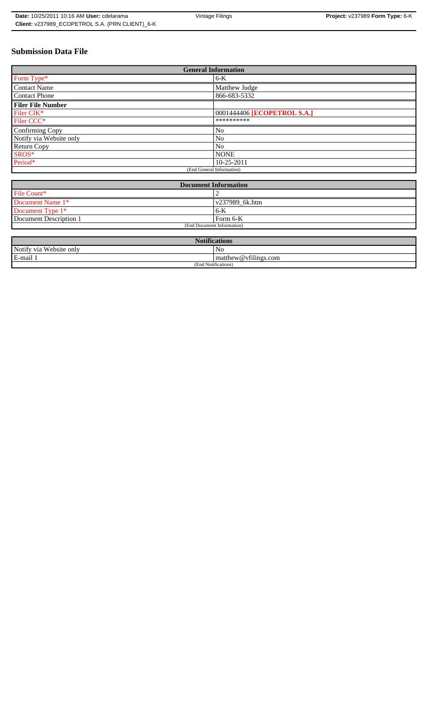# **Submission Data File**

| <b>General Information</b> |                             |  |  |  |
|----------------------------|-----------------------------|--|--|--|
| Form Type*                 | $6-K$                       |  |  |  |
| <b>Contact Name</b>        | Matthew Judge               |  |  |  |
| <b>Contact Phone</b>       | 866-683-5332                |  |  |  |
| <b>Filer File Number</b>   |                             |  |  |  |
| Filer CIK <sup>*</sup>     | 0001444406 [ECOPETROL S.A.] |  |  |  |
| Filer CCC*                 | **********                  |  |  |  |
| Confirming Copy            | N <sub>0</sub>              |  |  |  |
| Notify via Website only    | N <sub>0</sub>              |  |  |  |
| <b>Return Copy</b>         | N <sub>0</sub>              |  |  |  |
| $SROS*$                    | <b>NONE</b>                 |  |  |  |
| Period*                    | $10 - 25 - 2011$            |  |  |  |
| (End General Information)  |                             |  |  |  |

| <b>Document Information</b> |                |  |  |
|-----------------------------|----------------|--|--|
| File Count*                 |                |  |  |
| Document Name 1*            | v237989 6k.htm |  |  |
| Document Type 1*            | 6-K            |  |  |
| Document Description 1      | Form 6-K       |  |  |
| (End Document Information)  |                |  |  |

| <b>Notifications</b>    |                                   |  |  |
|-------------------------|-----------------------------------|--|--|
| Notify via Website only | No                                |  |  |
| E-mail 1                | $\sim$ 1.<br>matthew@vfilings.com |  |  |
| (End Notifications)     |                                   |  |  |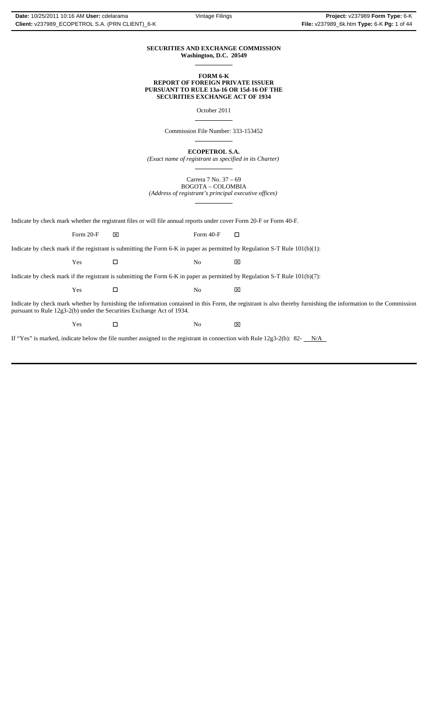#### **SECURITIES AND EXCHANGE COMMISSION Washington, D.C. 20549**

 $\overline{a}$ 

 $\overline{a}$ 

 $\overline{a}$ 

 $\overline{a}$ 

 $\overline{a}$ 

#### **FORM 6-K REPORT OF FOREIGN PRIVATE ISSUER PURSUANT TO RULE 13a-16 OR 15d-16 OF THE SECURITIES EXCHANGE ACT OF 1934**

October 2011

Commission File Number: 333-153452

**ECOPETROL S.A.**

*(Exact name of registrant as specified in its Charter)*

Carrera 7 No. 37 – 69 BOGOTA – COLOMBIA

*(Address of registrant's principal executive offices)*

Indicate by check mark whether the registrant files or will file annual reports under cover Form 20-F or Form 40-F.

Form 20-F  $\boxtimes$  Form 40-F  $\Box$ 

Indicate by check mark if the registrant is submitting the Form 6-K in paper as permitted by Regulation S-T Rule 101(b)(1):

Yes □ No ⊠

Indicate by check mark if the registrant is submitting the Form 6-K in paper as permitted by Regulation S-T Rule 101(b)(7):

| Y es | N.<br>שו | __<br>$\overline{v}$<br>ᅜ |
|------|----------|---------------------------|
|      |          |                           |

Indicate by check mark whether by furnishing the information contained in this Form, the registrant is also thereby furnishing the information to the Commission pursuant to Rule 12g3-2(b) under the Securities Exchange Act of 1934.

 $Yes$   $\square$  No  $\boxtimes$ 

If "Yes" is marked, indicate below the file number assigned to the registrant in connection with Rule 12g3-2(b): 82- $N/A$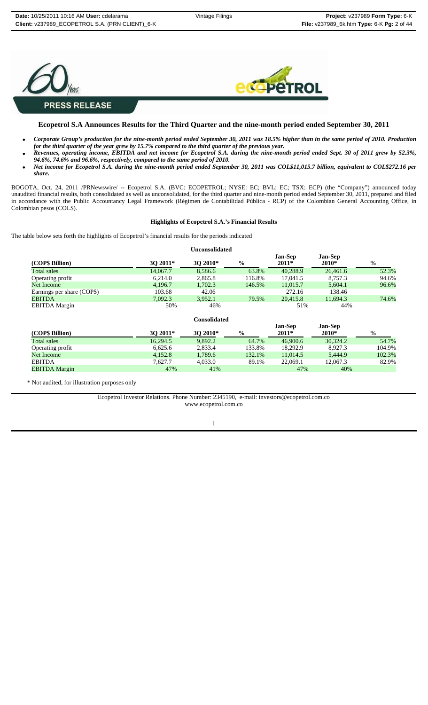

## **Ecopetrol S.A Announces Results for the Third Quarter and the nine-month period ended September 30, 2011**

- *Corporate Group's production for the nine-month period ended September 30, 2011 was 18.5% higher than in the same period of 2010. Production for the third quarter of the year grew by 15.7% compared to the third quarter of the previous year.*
- *Revenues, operating income, EBITDA and net income for Ecopetrol S.A. during the nine-month period ended Sept. 30 of 2011 grew by 52.3%, 94.6%, 74.6% and 96.6%, respectively, compared to the same period of 2010.*
- *Net income for Ecopetrol S.A. during the nine-month period ended September 30, 2011 was COL\$11,015.7 billion, equivalent to COL\$272.16 per share.*

BOGOTA, Oct. 24, 2011 /PRNewswire/ -- Ecopetrol S.A. (BVC: ECOPETROL; NYSE: EC; BVL: EC; TSX: ECP) (the "Company") announced today unaudited financial results, both consolidated as well as unconsolidated, for the third quarter and nine-month period ended September 30, 2011, prepared and filed in accordance with the Public Accountancy Legal Framework (Régimen de Contabilidad Pública - RCP) of the Colombian General Accounting Office, in Colombian pesos (COL\$).

#### **Highlights of Ecopetrol S.A.'s Financial Results**

The table below sets forth the highlights of Ecopetrol's financial results for the periods indicated

#### **Unconsolidated**

|                            |             |          |               | <b>Jan-Sep</b> | Jan-Sep  |               |
|----------------------------|-------------|----------|---------------|----------------|----------|---------------|
| (COP\$ Billion)            | $30\,2011*$ | 30 2010* | $\frac{0}{0}$ | $2011*$        | 2010*    | $\frac{6}{6}$ |
| Total sales                | 14,067.7    | 8.586.6  | 63.8%         | 40.288.9       | 26.461.6 | 52.3%         |
| Operating profit           | 6.214.0     | 2,865.8  | 116.8%        | 17,041.5       | 8.757.3  | 94.6%         |
| Net Income                 | 4.196.7     | 1,702.3  | 146.5%        | 11,015.7       | 5.604.1  | 96.6%         |
| Earnings per share (COP\$) | 103.68      | 42.06    |               | 272.16         | 138.46   |               |
| <b>EBITDA</b>              | 7.092.3     | 3,952.1  | 79.5%         | 20.415.8       | 11,694.3 | 74.6%         |
| <b>EBITDA</b> Margin       | 50%         | 46%      |               | 51%            | 44%      |               |

| Consolidated |  |
|--------------|--|
|--------------|--|

|                      |          |          |               | <b>Jan-Sep</b> | <b>Jan-Sep</b> |               |
|----------------------|----------|----------|---------------|----------------|----------------|---------------|
| (COP\$ Billion)      | 30 2011* | 30 2010* | $\frac{0}{0}$ | $2011*$        | $2010*$        | $\frac{6}{9}$ |
| <b>Total sales</b>   | 16.294.5 | 9.892.2  | 64.7%         | 46,900.6       | 30.324.2       | 54.7%         |
| Operating profit     | 6.625.6  | 2.833.4  | 133.8%        | 18.292.9       | 8.927.3        | 104.9%        |
| Net Income           | 4.152.8  | 1.789.6  | 132.1%        | 11.014.5       | 5.444.9        | 102.3%        |
| <b>EBITDA</b>        | 7.627.7  | 4.033.0  | 89.1%         | 22,069.1       | 12.067.3       | 82.9%         |
| <b>EBITDA Margin</b> | 47%      | 41%      |               | 47%            | 40%            |               |

\* Not audited, for illustration purposes only

Ecopetrol Investor Relations. Phone Number: 2345190, e-mail: investors@ecopetrol.com.co www.ecopetrol.com.co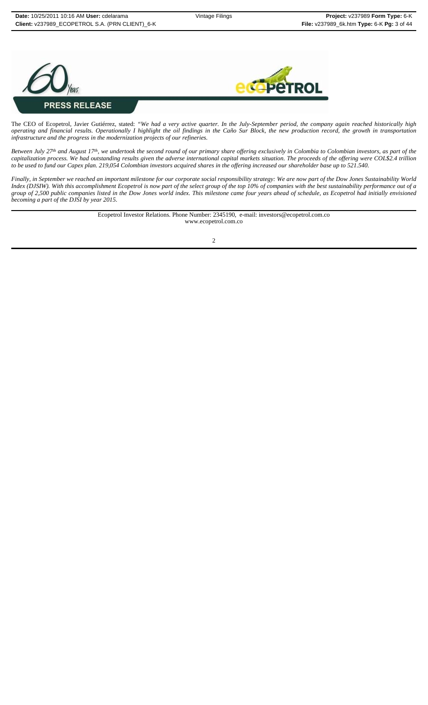ROI



The CEO of Ecopetrol, Javier Gutiérrez, stated: *"We had a very active quarter. In the July-September period, the company again reached historically high operating and financial results. Operationally I highlight the oil findings in the Caño Sur Block, the new production record, the growth in transportation infrastructure and the progress in the modernization projects of our refineries.*

*Between July 27th and August 17th, we undertook the second round of our primary share offering exclusively in Colombia to Colombian investors, as part of the capitalization process. We had outstanding results given the adverse international capital markets situation. The proceeds of the offering were COL\$2.4 trillion to be used to fund our Capex plan. 219,054 Colombian investors acquired shares in the offering increased our shareholder base up to 521.540.*

*Finally, in September we reached an important milestone for our corporate social responsibility strategy: We are now part of the Dow Jones Sustainability World Index (DJSIW). With this accomplishment Ecopetrol is now part of the select group of the top 10% of companies with the best sustainability performance out of a group of 2,500 public companies listed in the Dow Jones world index. This milestone came four years ahead of schedule, as Ecopetrol had initially envisioned becoming a part of the DJSI by year 2015.*

> Ecopetrol Investor Relations. Phone Number: 2345190, e-mail: investors@ecopetrol.com.co www.ecopetrol.com.co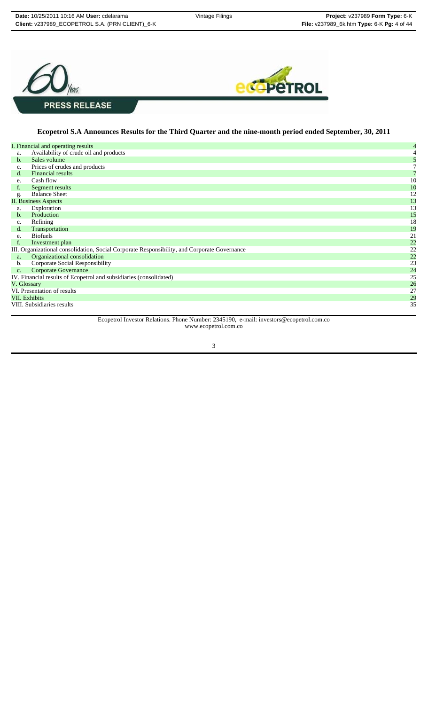

## **Ecopetrol S.A Announces Results for the Third Quarter and the nine-month period ended September, 30, 2011**

|                      | I. Financial and operating results                                                           | $\overline{4}$ |
|----------------------|----------------------------------------------------------------------------------------------|----------------|
| a.                   | Availability of crude oil and products                                                       |                |
| $\mathbf b$ .        | Sales volume                                                                                 |                |
| $\mathbf{c}$ .       | Prices of crudes and products                                                                |                |
| d.                   | <b>Financial results</b>                                                                     |                |
| e.                   | Cash flow                                                                                    | 10             |
| f.                   | Segment results                                                                              | 10             |
| g.                   | <b>Balance Sheet</b>                                                                         | 12             |
|                      | <b>II. Business Aspects</b>                                                                  | 13             |
| a.                   | Exploration                                                                                  | 13             |
| b.                   | Production                                                                                   | 15             |
| c.                   | Refining                                                                                     | 18             |
| d.                   | Transportation                                                                               | 19             |
| e.                   | <b>Biofuels</b>                                                                              | 21             |
|                      | Investment plan                                                                              | 22             |
|                      | III. Organizational consolidation, Social Corporate Responsibility, and Corporate Governance | 22             |
| a.                   | Organizational consolidation                                                                 | 22             |
| b.                   | Corporate Social Responsibility                                                              | 23             |
| C <sub>1</sub>       | <b>Corporate Governance</b>                                                                  | 24             |
|                      | IV. Financial results of Ecopetrol and subsidiaries (consolidated)                           | 25             |
| V. Glossary          |                                                                                              | 26             |
|                      | VI. Presentation of results                                                                  | 27             |
| <b>VII.</b> Exhibits |                                                                                              | 29             |
|                      | VIII. Subsidiaries results                                                                   | 35             |
|                      |                                                                                              |                |

Ecopetrol Investor Relations. Phone Number: 2345190, e-mail: investors@ecopetrol.com.co www.ecopetrol.com.co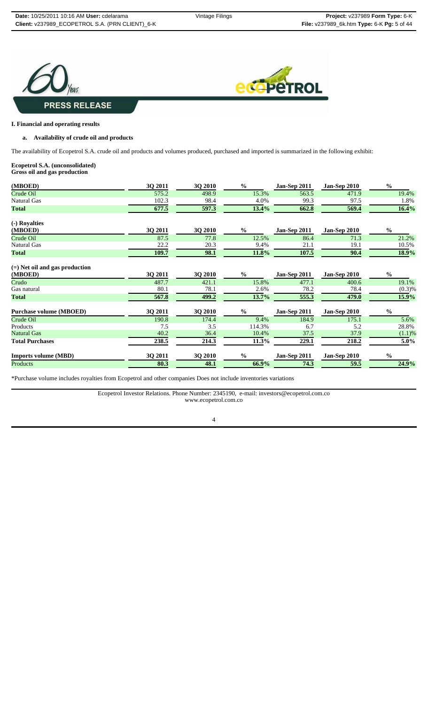



## **I. Financial and operating results**

## **a. Availability of crude oil and products**

The availability of Ecopetrol S.A. crude oil and products and volumes produced, purchased and imported is summarized in the following exhibit:

#### **Ecopetrol S.A. (unconsolidated) Gross oil and gas production**

| (MBOED)                                     | 3Q 2011 | 3Q 2010        | $\frac{6}{9}$ | <b>Jan-Sep 2011</b> | <b>Jan-Sep 2010</b> | $\frac{0}{0}$ |
|---------------------------------------------|---------|----------------|---------------|---------------------|---------------------|---------------|
| Crude Oil                                   | 575.2   | 498.9          | 15.3%         | 563.5               | 471.9               | 19.4%         |
| Natural Gas                                 | 102.3   | 98.4           | 4.0%          | 99.3                | 97.5                | 1.8%          |
| <b>Total</b>                                | 677.5   | 597.3          | 13.4%         | 662.8               | 569.4               | 16.4%         |
| (-) Royalties                               |         |                |               |                     |                     |               |
| (MBOED)                                     | 3Q 2011 | 3Q 2010        | $\%$          | <b>Jan-Sep 2011</b> | <b>Jan-Sep 2010</b> | $\frac{0}{0}$ |
| Crude Oil                                   | 87.5    | 77.8           | 12.5%         | 86.4                | 71.3                | 21.2%         |
| Natural Gas                                 | 22.2    | 20.3           | 9.4%          | 21.1                | 19.1                | 10.5%         |
| <b>Total</b>                                | 109.7   | 98.1           | 11.8%         | 107.5               | 90.4                | 18.9%         |
| $(=)$ Net oil and gas production<br>(MBOED) | 3Q 2011 | 3Q 2010        | $\frac{0}{0}$ | Jan-Sep 2011        | <b>Jan-Sep 2010</b> | $\frac{0}{0}$ |
| Crudo                                       | 487.7   | 421.1          | 15.8%         | 477.1               | 400.6               | 19.1%         |
| Gas natural                                 | 80.1    | 78.1           | 2.6%          | 78.2                | 78.4                | $(0.3)$ %     |
| <b>Total</b>                                | 567.8   | 499.2          | 13.7%         | 555.3               | 479.0               | 15.9%         |
| <b>Purchase volume (MBOED)</b>              | 3Q 2011 | 3Q 2010        | $\frac{0}{0}$ | <b>Jan-Sep 2011</b> | <b>Jan-Sep 2010</b> | $\frac{0}{0}$ |
| Crude Oil                                   | 190.8   | 174.4          | 9.4%          | 184.9               | 175.1               | 5.6%          |
| Products                                    | 7.5     | 3.5            | 114.3%        | 6.7                 | 5.2                 | 28.8%         |
| Natural Gas                                 | 40.2    | 36.4           | 10.4%         | 37.5                | 37.9                | $(1.1)$ %     |
| <b>Total Purchases</b>                      | 238.5   | 214.3          | 11.3%         | 229.1               | 218.2               | 5.0%          |
| <b>Imports volume (MBD)</b>                 | 3Q 2011 | <b>3Q 2010</b> | $\frac{0}{0}$ | <b>Jan-Sep 2011</b> | <b>Jan-Sep 2010</b> | $\frac{0}{0}$ |
| Products                                    | 80.3    | 48.1           | 66.9%         | 74.3                | 59.5                | 24.9%         |

\*Purchase volume includes royalties from Ecopetrol and other companies Does not include inventories variations

Ecopetrol Investor Relations. Phone Number: 2345190, e-mail: investors@ecopetrol.com.co www.ecopetrol.com.co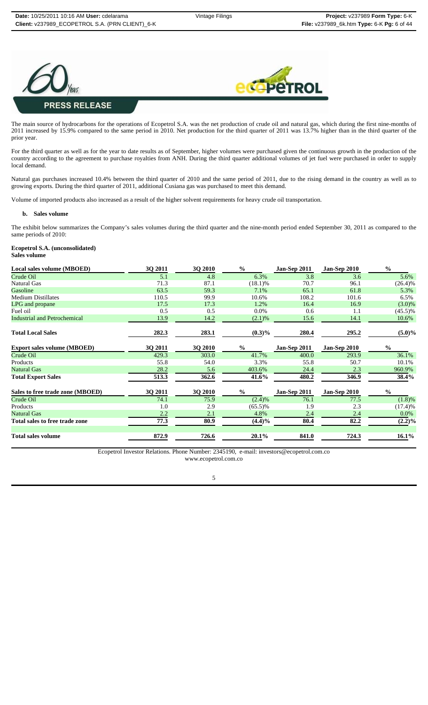



The main source of hydrocarbons for the operations of Ecopetrol S.A. was the net production of crude oil and natural gas, which during the first nine-months of 2011 increased by 15.9% compared to the same period in 2010. Net production for the third quarter of 2011 was 13.7% higher than in the third quarter of the prior year.

For the third quarter as well as for the year to date results as of September, higher volumes were purchased given the continuous growth in the production of the country according to the agreement to purchase royalties from ANH. During the third quarter additional volumes of jet fuel were purchased in order to supply local demand.

Natural gas purchases increased 10.4% between the third quarter of 2010 and the same period of 2011, due to the rising demand in the country as well as to growing exports. During the third quarter of 2011, additional Cusiana gas was purchased to meet this demand.

Volume of imported products also increased as a result of the higher solvent requirements for heavy crude oil transportation.

#### **b. Sales volume**

The exhibit below summarizes the Company's sales volumes during the third quarter and the nine-month period ended September 30, 2011 as compared to the same periods of 2010:

# **Ecopetrol S.A. (unconsolidated)**

**Sales volume**

| 3Q 2011 | 3Q 2010 | $\frac{0}{0}$ | <b>Jan-Sep 2011</b> | <b>Jan-Sep 2010</b> | $\frac{0}{0}$ |
|---------|---------|---------------|---------------------|---------------------|---------------|
| 5.1     | 4.8     | 6.3%          | 3.8                 | 3.6                 | 5.6%          |
| 71.3    | 87.1    | $(18.1)\%$    | 70.7                | 96.1                | $(26.4)\%$    |
| 63.5    | 59.3    | 7.1%          | 65.1                | 61.8                | 5.3%          |
| 110.5   | 99.9    | 10.6%         | 108.2               | 101.6               | 6.5%          |
| 17.5    | 17.3    | 1.2%          | 16.4                | 16.9                | $(3.0)\%$     |
| 0.5     | 0.5     | $0.0\%$       | 0.6                 | 1.1                 | $(45.5)\%$    |
| 13.9    | 14.2    | (2.1)%        | 15.6                | 14.1                | 10.6%         |
| 282.3   | 283.1   | $(0.3)\%$     | 280.4               | 295.2               | $(5.0)\%$     |
| 3Q 2011 | 3Q 2010 | $\%$          | Jan-Sep 2011        | <b>Jan-Sep 2010</b> | $\frac{0}{0}$ |
| 429.3   | 303.0   | 41.7%         | 400.0               | 293.9               | 36.1%         |
| 55.8    | 54.0    | 3.3%          | 55.8                | 50.7                | 10.1%         |
| 28.2    | 5.6     | 403.6%        | 24.4                | 2.3                 | 960.9%        |
| 513.3   | 362.6   | 41.6%         | 480.2               | 346.9               | 38.4%         |
| 3Q 2011 | 3Q 2010 | $\%$          | Jan-Sep 2011        | <b>Jan-Sep 2010</b> | $\%$          |
| 74.1    | 75.9    |               | 76.1                | 77.5                | $(1.8)\%$     |
| 1.0     | 2.9     | $(65.5)\%$    | 1.9                 | 2.3                 | (17.4)%       |
| 2.2     | 2.1     | 4.8%          | 2.4                 | 2.4                 | $0.0\%$       |
| 77.3    | 80.9    | $(4.4)\%$     | 80.4                | 82.2                | $(2.2)\%$     |
| 872.9   | 726.6   | 20.1%         | 841.0               | 724.3               | $16.1\%$      |
|         |         |               | (2.4)%              |                     |               |

Ecopetrol Investor Relations. Phone Number: 2345190, e-mail: investors@ecopetrol.com.co www.ecopetrol.com.co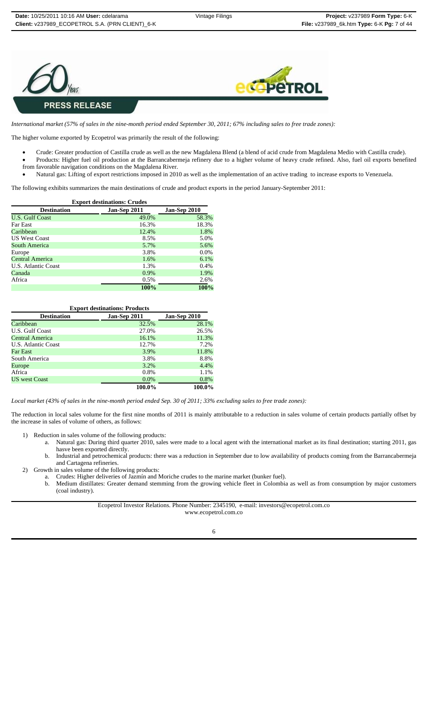



*International market (57% of sales in the nine-month period ended September 30, 2011; 67% including sales to free trade zones):*

The higher volume exported by Ecopetrol was primarily the result of the following:

- Crude: Greater production of Castilla crude as well as the new Magdalena Blend (a blend of acid crude from Magdalena Medio with Castilla crude).
- Products: Higher fuel oil production at the Barrancabermeja refinery due to a higher volume of heavy crude refined. Also, fuel oil exports benefited
- from favorable navigation conditions on the Magdalena River.
- Natural gas: Lifting of export restrictions imposed in 2010 as well as the implementation of an active trading to increase exports to Venezuela.

The following exhibits summarizes the main destinations of crude and product exports in the period January-September 2011:

| <b>Export destinations: Crudes</b> |              |              |  |  |  |
|------------------------------------|--------------|--------------|--|--|--|
| <b>Destination</b>                 | Jan-Sep 2011 | Jan-Sep 2010 |  |  |  |
| <b>U.S. Gulf Coast</b>             | 49.0%        | 58.3%        |  |  |  |
| <b>Far East</b>                    | 16.3%        | 18.3%        |  |  |  |
| Caribbean                          | 12.4%        | 1.8%         |  |  |  |
| <b>US West Coast</b>               | 8.5%         | 5.0%         |  |  |  |
| South America                      | 5.7%         | 5.6%         |  |  |  |
| Europe                             | 3.8%         | $0.0\%$      |  |  |  |
| Central America                    | 1.6%         | $6.1\%$      |  |  |  |
| U.S. Atlantic Coast                | 1.3%         | 0.4%         |  |  |  |
| Canada                             | 0.9%         | 1.9%         |  |  |  |
| Africa                             | 0.5%         | 2.6%         |  |  |  |
|                                    | 100%         | 100%         |  |  |  |

| <b>Export destinations: Products</b>               |        |        |  |  |  |  |
|----------------------------------------------------|--------|--------|--|--|--|--|
| Jan-Sep 2010<br>Jan-Sep 2011<br><b>Destination</b> |        |        |  |  |  |  |
| Caribbean                                          | 32.5%  | 28.1%  |  |  |  |  |
| U.S. Gulf Coast                                    | 27.0%  | 26.5%  |  |  |  |  |
| Central America                                    | 16.1%  | 11.3%  |  |  |  |  |
| U.S. Atlantic Coast                                | 12.7%  | 7.2%   |  |  |  |  |
| Far East                                           | 3.9%   | 11.8%  |  |  |  |  |
| South America                                      | 3.8%   | 8.8%   |  |  |  |  |
| Europe                                             | 3.2%   | 4.4%   |  |  |  |  |
| Africa                                             | 0.8%   | 1.1%   |  |  |  |  |
| <b>US</b> west Coast                               | 0.0%   | 0.8%   |  |  |  |  |
|                                                    | 100.0% | 100.0% |  |  |  |  |

*Local market (43% of sales in the nine-month period ended Sep. 30 of 2011; 33% excluding sales to free trade zones):*

The reduction in local sales volume for the first nine months of 2011 is mainly attributable to a reduction in sales volume of certain products partially offset by the increase in sales of volume of others, as follows:

- 1) Reduction in sales volume of the following products:
	- a. Natural gas: During third quarter 2010, sales were made to a local agent with the international market as its final destination; starting 2011, gas hasve been exported directly.
	- b. Industrial and petrochemical products: there was a reduction in September due to low availability of products coming from the Barrancabermeja and Cartagena refineries.
- 2) Growth in sales volume of the following products:
	- a. Crudes: Higher deliveries of Jazmín and Moriche crudes to the marine market (bunker fuel).
		- b. Medium distillates: Greater demand stemming from the growing vehicle fleet in Colombia as well as from consumption by major customers (coal industry).

Ecopetrol Investor Relations. Phone Number: 2345190, e-mail: investors@ecopetrol.com.co www.ecopetrol.com.co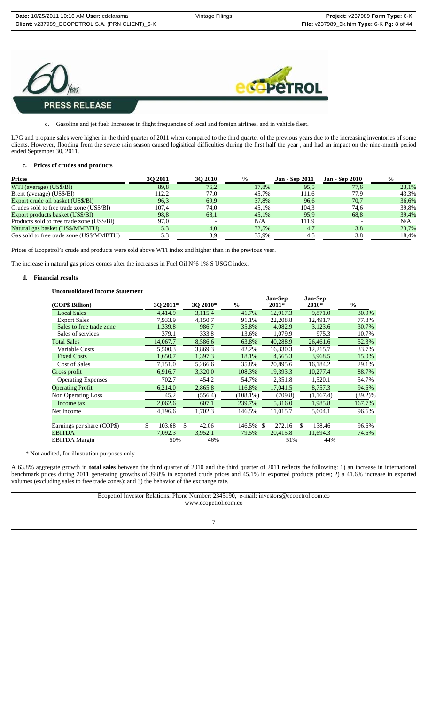



# c. Gasoline and jet fuel: Increases in flight frequencies of local and foreign airlines, and in vehicle fleet.

LPG and propane sales were higher in the third quarter of 2011 when compared to the third quarter of the previous years due to the increasing inventories of some clients. However, flooding from the severe rain season caused logisitical difficulties during the first half the year , and had an impact on the nine-month period ended September 30, 2011.

#### **c. Prices of crudes and products**

| <b>Prices</b>                              | 30 2011 | <b>30 2010</b> | $\frac{0}{0}$ | <b>Jan - Sep 2011</b> | <b>Jan - Sep 2010</b> | $\frac{6}{9}$ |
|--------------------------------------------|---------|----------------|---------------|-----------------------|-----------------------|---------------|
| WTI (average) (US\$/Bl)                    | 89.8    | 76,2           | 17.8%         | 95,5                  | 77,6                  | 23,1%         |
| Brent (average) (US\$/BI)                  | 112.2   | 77.0           | 45.7%         | 111.6                 | 77.9                  | 43,3%         |
| Export crude oil basket (US\$/BI)          | 96.3    | 69.9           | 37.8%         | 96,6                  | 70,7                  | 36,6%         |
| Crudes sold to free trade zone (US\$/BI)   | 107.4   | 74.0           | 45.1%         | 104.3                 | 74,6                  | 39,8%         |
| Export products basket (US\$/BI)           | 98,8    | 68,1           | 45.1%         | 95,9                  | 68,8                  | 39,4%         |
| Products sold to free trade zone (US\$/BI) | 97,0    |                | N/A           | 111.9                 |                       | N/A           |
| Natural gas basket (US\$/MMBTU)            | 5.3     | 4.0            | 32.5%         | 4.7                   | 3,8                   | 23,7%         |
| Gas sold to free trade zone (US\$/MMBTU)   | 5.3     | 3.9            | 35.9%         | 4.5                   | 3,8                   | 18.4%         |

Prices of Ecopetrol's crude and products were sold above WTI index and higher than in the previous year.

The increase in natural gas prices comes after the increases in Fuel Oil N°6 1% S USGC index.

#### **d. Financial results**

## **Unconsolidated Income Statement**

|                            |              |     |          |             | <b>Jan-Sep</b>          |     | <b>Jan-Sep</b> | $\frac{6}{9}$ |
|----------------------------|--------------|-----|----------|-------------|-------------------------|-----|----------------|---------------|
| (COP\$ Billion)            | 3Q 2011*     |     | 3Q 2010* | $\%$        | 2011*                   |     | 2010*          |               |
| <b>Local Sales</b>         | 4.414.9      |     | 3.115.4  | 41.7%       | 12.917.3                |     | 9.871.0        | 30.9%         |
| <b>Export Sales</b>        | 7,933.9      |     | 4,150.7  | 91.1%       | 22,208.8                |     | 12,491.7       | 77.8%         |
| Sales to free trade zone   | 1,339.8      |     | 986.7    | 35.8%       | 4,082.9                 |     | 3,123.6        | 30.7%         |
| Sales of services          | 379.1        |     | 333.8    | 13.6%       | 1,079.9                 |     | 975.3          | 10.7%         |
| <b>Total Sales</b>         | 14,067.7     |     | 8,586.6  | 63.8%       | 40,288.9                |     | 26,461.6       | 52.3%         |
| Variable Costs             | 5.500.3      |     | 3.869.3  | 42.2%       | 16.330.3                |     | 12.215.7       | 33.7%         |
| <b>Fixed Costs</b>         | 1,650.7      |     | 1,397.3  | 18.1%       | 4,565.3                 |     | 3,968.5        | 15.0%         |
| <b>Cost of Sales</b>       | 7,151.0      |     | 5,266.6  | 35.8%       | 20,895.6                |     | 16,184.2       | 29.1%         |
| Gross profit               | 6,916.7      |     | 3,320.0  | 108.3%      | 19,393.3                |     | 10,277.4       | 88.7%         |
| <b>Operating Expenses</b>  | 702.7        |     | 454.2    | 54.7%       | 2,351.8                 |     | 1,520.1        | 54.7%         |
| <b>Operating Profit</b>    | 6,214.0      |     | 2,865.8  | 116.8%      | 17,041.5                |     | 8,757.3        | 94.6%         |
| <b>Non Operating Loss</b>  | 45.2         |     | (556.4)  | $(108.1\%)$ | (709.8)                 |     | (1, 167.4)     | $(39.2)\%$    |
| Income tax                 | 2,062.6      |     | 607.1    | 239.7%      | 5,316.0                 |     | 1,985.8        | 167.7%        |
| Net Income                 | 4,196.6      |     | 1,702.3  | 146.5%      | 11,015.7                |     | 5,604.1        | 96.6%         |
|                            |              |     |          |             |                         |     |                |               |
| Earnings per share (COP\$) | \$<br>103.68 | \$. | 42.06    | 146.5%      | 272.16<br><sup>\$</sup> | \$. | 138.46         | 96.6%         |
| <b>EBITDA</b>              | 7,092.3      |     | 3,952.1  | 79.5%       | 20,415.8                |     | 11,694.3       | 74.6%         |
| <b>EBITDA Margin</b>       | 50%          |     | 46%      |             | 51%                     |     | 44%            |               |

\* Not audited, for illustration purposes only

A 63.8% aggregate growth in **total sales** between the third quarter of 2010 and the third quarter of 2011 reflects the following: 1) an increase in international benchmark prices during 2011 generating growths of 39.8% in exported crude prices and 45.1% in exported products prices; 2) a 41.6% increase in exported volumes (excluding sales to free trade zones); and 3) the behavior of the exchange rate.

> Ecopetrol Investor Relations. Phone Number: 2345190, e-mail: investors@ecopetrol.com.co www.ecopetrol.com.co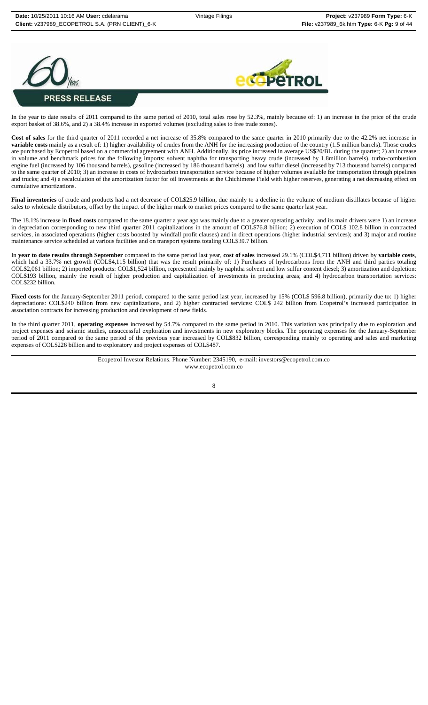



In the year to date results of 2011 compared to the same period of 2010, total sales rose by 52.3%, mainly because of: 1) an increase in the price of the crude export basket of 38.6%, and 2) a 38.4% increase in exported volumes (excluding sales to free trade zones).

**Cost of sales** for the third quarter of 2011 recorded a net increase of 35.8% compared to the same quarter in 2010 primarily due to the 42.2% net increase in **variable costs** mainly as a result of: 1) higher availability of crudes from the ANH for the increasing production of the country (1.5 million barrels). Those crudes are purchased by Ecopetrol based on a commercial agreement with ANH. Additionally, its price increased in average US\$20/BL during the quarter; 2) an increase in volume and benchmark prices for the following imports: solvent naphtha for transporting heavy crude (increased by 1.8million barrels), turbo-combustion engine fuel (increased by 106 thousand barrels), gasoline (increased by 186 thousand barrels) and low sulfur diesel (increased by 713 thousand barrels) compared to the same quarter of 2010; 3) an increase in costs of hydrocarbon transportation service because of higher volumes available for transportation through pipelines and trucks; and 4) a recalculation of the amortization factor for oil investments at the Chichimene Field with higher reserves, generating a net decreasing effect on cumulative amortizations.

Final inventories of crude and products had a net decrease of COL\$25.9 billion, due mainly to a decline in the volume of medium distillates because of higher sales to wholesale distributors, offset by the impact of the higher mark to market prices compared to the same quarter last year.

The 18.1% increase in **fixed costs** compared to the same quarter a year ago was mainly due to a greater operating activity, and its main drivers were 1) an increase in depreciation corresponding to new third quarter 2011 capitalizations in the amount of COL\$76.8 billion; 2) execution of COL\$ 102.8 billion in contracted services, in associated operations (higher costs boosted by windfall profit clauses) and in direct operations (higher industrial services); and 3) major and routine maintenance service scheduled at various facilities and on transport systems totaling COL\$39.7 billion.

In **year to date results through September** compared to the same period last year, **cost of sales** increased 29.1% (COL\$4,711 billion) driven by **variable costs**, which had a 33.7% net growth (COL\$4,115 billion) that was the result primarily of: 1) Purchases of hydrocarbons from the ANH and third parties totaling COL\$2,061 billion; 2) imported products: COL\$1,524 billion, represented mainly by naphtha solvent and low sulfur content diesel; 3) amortization and depletion: COL\$193 billion, mainly the result of higher production and capitalization of investments in producing areas; and 4) hydrocarbon transportation services: COL\$232 billion.

**Fixed costs** for the January-September 2011 period, compared to the same period last year, increased by 15% (COL\$ 596.8 billion), primarily due to: 1) higher depreciations: COL\$240 billion from new capitalizations, and 2) higher contracted services: COL\$ 242 billion from Ecopetrol's increased participation in association contracts for increasing production and development of new fields.

In the third quarter 2011, **operating expenses** increased by 54.7% compared to the same period in 2010. This variation was principally due to exploration and project expenses and seismic studies, unsuccessful exploration and investments in new exploratory blocks. The operating expenses for the January-September period of 2011 compared to the same period of the previous year increased by COL\$832 billion, corresponding mainly to operating and sales and marketing expenses of COL\$226 billion and to exploratory and project expenses of COL\$487.

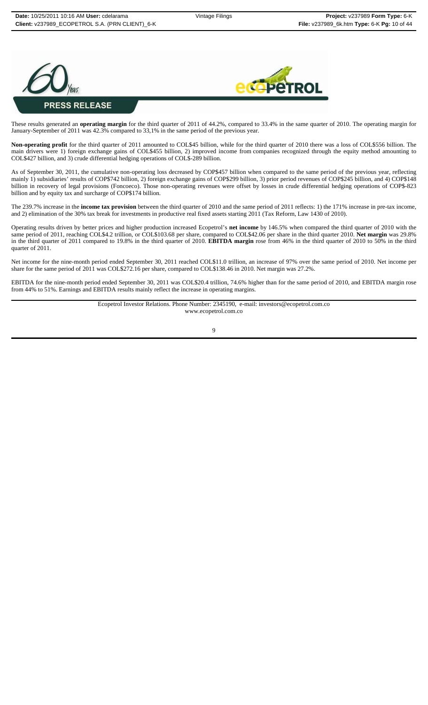



These results generated an **operating margin** for the third quarter of 2011 of 44.2%, compared to 33.4% in the same quarter of 2010. The operating margin for January-September of 2011 was 42.3% compared to 33,1% in the same period of the previous year.

**Non-operating profit** for the third quarter of 2011 amounted to COL\$45 billion, while for the third quarter of 2010 there was a loss of COL\$556 billion. The main drivers were 1) foreign exchange gains of COL\$455 billion, 2) improved income from companies recognized through the equity method amounting to COL\$427 billion, and 3) crude differential hedging operations of COL\$-289 billion.

As of September 30, 2011, the cumulative non-operating loss decreased by COP\$457 billion when compared to the same period of the previous year, reflecting mainly 1) subsidiaries' results of COP\$742 billion, 2) foreign exchange gains of COP\$299 billion, 3) prior period revenues of COP\$245 billion, and 4) COP\$148 billion in recovery of legal provisions (Foncoeco). Those non-operating revenues were offset by losses in crude differential hedging operations of COP\$-823 billion and by equity tax and surcharge of COP\$174 billion.

The 239.7% increase in the **income tax provision** between the third quarter of 2010 and the same period of 2011 reflects: 1) the 171% increase in pre-tax income, and 2) elimination of the 30% tax break for investments in productive real fixed assets starting 2011 (Tax Reform, Law 1430 of 2010).

Operating results driven by better prices and higher production increased Ecopetrol's **net income** by 146.5% when compared the third quarter of 2010 with the same period of 2011, reaching COL\$4.2 trillion, or COL\$103.68 per share, compared to COL\$42.06 per share in the third quarter 2010. **Net margin** was 29.8% in the third quarter of 2011 compared to 19.8% in the third quarter of 2010. **EBITDA margin** rose from 46% in the third quarter of 2010 to 50% in the third quarter of 2011.

Net income for the nine-month period ended September 30, 2011 reached COL\$11.0 trillion, an increase of 97% over the same period of 2010. Net income per share for the same period of 2011 was COL\$272.16 per share, compared to COL\$138.46 in 2010. Net margin was 27.2%.

EBITDA for the nine-month period ended September 30, 2011 was COL\$20.4 trillion, 74.6% higher than for the same period of 2010, and EBITDA margin rose from 44% to 51%. Earnings and EBITDA results mainly reflect the increase in operating margins.

> Ecopetrol Investor Relations. Phone Number: 2345190, e-mail: investors@ecopetrol.com.co www.ecopetrol.com.co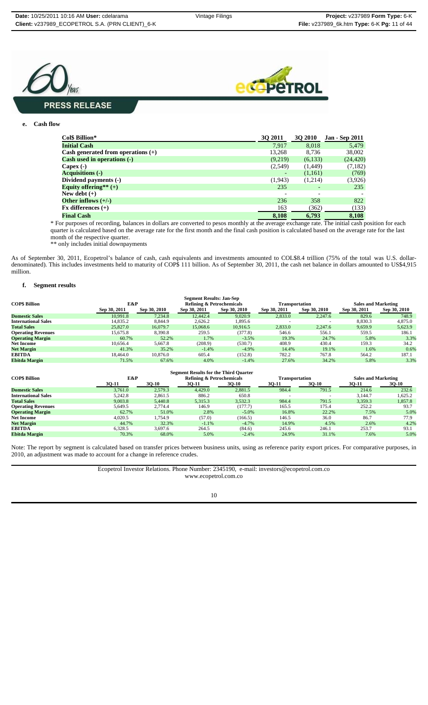



#### **e. Cash flow**

| Col\$ Billion*                       | <b>30 2011</b> | <b>3Q 2010</b> | <b>Jan - Sep 2011</b> |
|--------------------------------------|----------------|----------------|-----------------------|
| <b>Initial Cash</b>                  | 7.917          | 8,018          | 5,479                 |
| Cash generated from operations $(+)$ | 13,268         | 8.736          | 38,002                |
| Cash used in operations (-)          | (9,219)        | (6,133)        | (24, 420)             |
| Capex $(-)$                          | (2,549)        | (1,449)        | (7,182)               |
| <b>Acquisitions (-)</b>              |                | (1,161)        | (769)                 |
| Dividend payments (-)                | (1,943)        | (1,214)        | (3,926)               |
| Equity offering** $(+)$              | 235            |                | 235                   |
| New debt $(+)$                       |                |                |                       |
| Other inflows $(+/-)$                | 236            | 358            | 822                   |
| $Fx$ differences $(+)$               | 163            | (362)          | (133)                 |
| <b>Final Cash</b>                    | 8,108          | 6,793          | 8,108                 |

\* For purposes of recording, balances in dollars are converted to pesos monthly at the average exchange rate. The initial cash position for each quarter is calculated based on the average rate for the first month and the final cash position is calculated based on the average rate for the last month of the respective quarter.

\*\* only includes initial downpayments

As of September 30, 2011, Ecopetrol's balance of cash, cash equivalents and investments amounted to COL\$8.4 trillion (75% of the total was U.S. dollardenominated). This includes investments held to maturity of COP\$ 111 billion. As of September 30, 2011, the cash net balance in dollars amounted to US\$4,915 million.

#### **f. Segment results**

| <b>Segment Results: Jan-Sep</b> |              |              |              |                                      |              |                |              |                            |  |
|---------------------------------|--------------|--------------|--------------|--------------------------------------|--------------|----------------|--------------|----------------------------|--|
| <b>COPS Billion</b>             | E&P          |              |              | <b>Refining &amp; Petrochemicals</b> |              | Transportation |              | <b>Sales and Marketing</b> |  |
|                                 | Sep 30, 2011 | Sep 30, 2010 | Sep 30, 2011 | Sep 30, 2010                         | Sep 30, 2011 | Sep 30, 2010   | Sep 30, 2011 | Sep 30, 2010               |  |
| <b>Domestic Sales</b>           | 10.991.8     | 7.234.8      | 12,442.4     | 9.020.9                              | 2,833.0      | 2.247.6        | 829.6        | 748.9                      |  |
| <b>International Sales</b>      | 14,835.2     | 8.844.9      | 2,626.2      | 1,895.6                              |              |                | 8,830.3      | 4,875.0                    |  |
| <b>Total Sales</b>              | 25,827.0     | 16,079.7     | 15,068.6     | 10.916.5                             | 2,833.0      | 2.247.6        | 9,659.9      | 5,623.9                    |  |
| <b>Operating Revenues</b>       | 15.675.8     | 8,390.8      | 259.5        | (377.8)                              | 546.6        | 556.1          | 559.5        | 186.1                      |  |
| <b>Operating Margin</b>         | 60.7%        | 52.2%        | 1.7%         | $-3.5%$                              | 19.3%        | 24.7%          | 5.8%         | 3.3%                       |  |
| <b>Net Income</b>               | 10.656.4     | 5.667.8      | (208.9)      | (530.7)                              | 408.9        | 430.4          | 159.3        | 34.2                       |  |
| <b>Net Margin</b>               | 41.3%        | 35.2%        | $-1.4%$      | $-4.9%$                              | 14.4%        | 19.1%          | 1.6%         | 0.6%                       |  |
| <b>EBITDA</b>                   | 18.464.0     | 10.876.0     | 605.4        | (152.8)                              | 782.2        | 767.8          | 564.2        | 187.1                      |  |
| <b>Ebitda Margin</b>            | 71.5%        | 67.6%        | 4.0%         | $-1.4%$                              | 27.6%        | 34.2%          | 5.8%         | 3.3%                       |  |

| <b>Segment Results for the Third Quarter</b> |         |              |         |                                      |                          |                |                            |         |
|----------------------------------------------|---------|--------------|---------|--------------------------------------|--------------------------|----------------|----------------------------|---------|
| <b>COPS Billion</b>                          | E&P     |              |         | <b>Refining &amp; Petrochemicals</b> |                          | Transportation | <b>Sales and Marketing</b> |         |
|                                              | 30-11   | <b>30-10</b> | 3Q-11   | $30-10$                              | 30-11                    | 30-10          | 30-11                      | $3Q-10$ |
| <b>Domestic Sales</b>                        | 3.761.0 | 2,579.3      | 4.429.0 | 2,881.5                              | 984.4                    | 791.5          | 214.6                      | 232.6   |
| <b>International Sales</b>                   | 5,242.8 | 2,861.5      | 886.2   | 650.8                                | $\overline{\phantom{0}}$ |                | 3.144.7                    | 1,625.2 |
| <b>Total Sales</b>                           | 9,003.8 | 5.440.8      | 5,315.3 | 3,532.3                              | 984.4                    | 791.5          | 3,359.3                    | 1,857.8 |
| <b>Operating Revenues</b>                    | 5.649.5 | 2.774.4      | 146.9   | (177.7)                              | 165.5                    | 175.4          | 252.2                      | 93.7    |
| <b>Operating Margin</b>                      | 62.7%   | 51.0%        | 2.8%    | $-5.0\%$                             | 16.8%                    | 22.2%          | 7.5%                       | 5.0%    |
| <b>Net Income</b>                            | 4.020.5 | 1.754.9      | (57.0)  | (166.5)                              | 146.5                    | 36.0           | 86.7                       | 77.9    |
| <b>Net Margin</b>                            | 44.7%   | 32.3%        | $-1.1%$ | $-4.7%$                              | 14.9%                    | 4.5%           | 2.6%                       | 4.2%    |
| <b>EBITDA</b>                                | 6.328.5 | 3.697.6      | 264.5   | (84.6)                               | 245.6                    | 246.1          | 253.7                      | 93.1    |
| Ebitda Margin                                | 70.3%   | 68.0%        | 5.0%    | $-2.4%$                              | 24.9%                    | 31.1%          | 7.6%                       | 5.0%    |

Note: The report by segment is calculated based on transfer prices between business units, using as reference parity export prices. For comparative purposes, in 2010, an adjustment was made to account for a change in reference crudes.

> Ecopetrol Investor Relations. Phone Number: 2345190, e-mail: investors@ecopetrol.com.co www.ecopetrol.com.co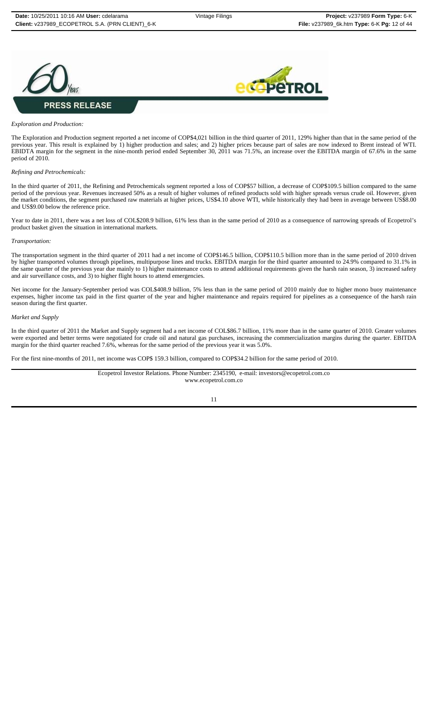



#### *Exploration and Production:*

The Exploration and Production segment reported a net income of COP\$4,021 billion in the third quarter of 2011, 129% higher than that in the same period of the previous year. This result is explained by 1) higher production and sales; and 2) higher prices because part of sales are now indexed to Brent instead of WTI. EBIDTA margin for the segment in the nine-month period ended September 30, 2011 was 71.5%, an increase over the EBITDA margin of 67.6% in the same period of 2010.

#### *Refining and Petrochemicals:*

In the third quarter of 2011, the Refining and Petrochemicals segment reported a loss of COP\$57 billion, a decrease of COP\$109.5 billion compared to the same period of the previous year. Revenues increased 50% as a result of higher volumes of refined products sold with higher spreads versus crude oil. However, given the market conditions, the segment purchased raw materials at higher prices, US\$4.10 above WTI, while historically they had been in average between US\$8.00 and US\$9.00 below the reference price.

Year to date in 2011, there was a net loss of COL\$208.9 billion, 61% less than in the same period of 2010 as a consequence of narrowing spreads of Ecopetrol's product basket given the situation in international markets.

#### *Transportation:*

The transportation segment in the third quarter of 2011 had a net income of COP\$146.5 billion, COP\$110.5 billion more than in the same period of 2010 driven by higher transported volumes through pipelines, multipurpose lines and trucks. EBITDA margin for the third quarter amounted to 24.9% compared to 31.1% in the same quarter of the previous year due mainly to 1) higher maintenance costs to attend additional requirements given the harsh rain season, 3) increased safety and air surveillance costs, and 3) to higher flight hours to attend emergencies.

Net income for the January-September period was COL\$408.9 billion, 5% less than in the same period of 2010 mainly due to higher mono buoy maintenance expenses, higher income tax paid in the first quarter of the year and higher maintenance and repairs required for pipelines as a consequence of the harsh rain season during the first quarter.

#### *Market and Supply*

In the third quarter of 2011 the Market and Supply segment had a net income of COL\$86.7 billion, 11% more than in the same quarter of 2010. Greater volumes were exported and better terms were negotiated for crude oil and natural gas purchases, increasing the commercialization margins during the quarter. EBITDA margin for the third quarter reached 7.6%, whereas for the same period of the previous year it was 5.0%.

For the first nine-months of 2011, net income was COP\$ 159.3 billion, compared to COP\$34.2 billion for the same period of 2010.

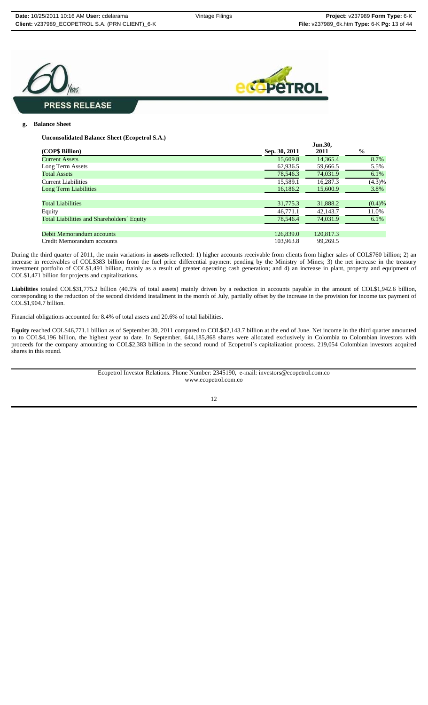



### **g. Balance Sheet**

**Unconsolidated Balance Sheet (Ecopetrol S.A.)**

|                                            |               | Jun.30,   |               |
|--------------------------------------------|---------------|-----------|---------------|
| (COP\$ Billion)                            | Sep. 30, 2011 | 2011      | $\frac{1}{2}$ |
| <b>Current Assets</b>                      | 15,609.8      | 14.365.4  | 8.7%          |
| Long Term Assets                           | 62,936.5      | 59,666.5  | 5.5%          |
| <b>Total Assets</b>                        | 78.546.3      | 74,031.9  | $6.1\%$       |
| <b>Current Liabilities</b>                 | 15.589.1      | 16.287.3  | (4.3)%        |
| <b>Long Term Liabilities</b>               | 16,186.2      | 15,600.9  | 3.8%          |
|                                            |               |           |               |
| <b>Total Liabilities</b>                   | 31,775.3      | 31,888.2  | (0.4)%        |
| Equity                                     | 46,771.1      | 42,143.7  | 11.0%         |
| Total Liabilities and Shareholders' Equity | 78,546.4      | 74,031.9  | 6.1%          |
|                                            |               |           |               |
| Debit Memorandum accounts                  | 126,839.0     | 120,817.3 |               |
| Credit Memorandum accounts                 | 103.963.8     | 99.269.5  |               |

During the third quarter of 2011, the main variations in **assets** reflected: 1) higher accounts receivable from clients from higher sales of COL\$760 billion; 2) an increase in receivables of COL\$383 billion from the fuel price differential payment pending by the Ministry of Mines; 3) the net increase in the treasury investment portfolio of COL\$1,491 billion, mainly as a result of greater operating cash generation; and 4) an increase in plant, property and equipment of COL\$1,471 billion for projects and capitalizations.

**Liabilities** totaled COL\$31,775.2 billion (40.5% of total assets) mainly driven by a reduction in accounts payable in the amount of COL\$1,942.6 billion, corresponding to the reduction of the second dividend installment in the month of July, partially offset by the increase in the provision for income tax payment of COL\$1,904.7 billion.

Financial obligations accounted for 8.4% of total assets and 20.6% of total liabilities.

**Equity** reached COL\$46,771.1 billion as of September 30, 2011 compared to COL\$42,143.7 billion at the end of June. Net income in the third quarter amounted to to COL\$4,196 billion, the highest year to date. In September, 644,185,868 shares were allocated exclusively in Colombia to Colombian investors with proceeds for the company amounting to COL\$2,383 billion in the second round of Ecopetrol´s capitalization process. 219,054 Colombian investors acquired shares in this round.

> Ecopetrol Investor Relations. Phone Number: 2345190, e-mail: investors@ecopetrol.com.co www.ecopetrol.com.co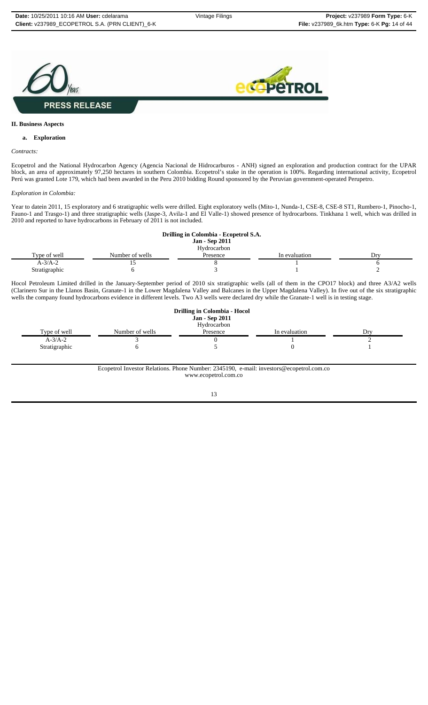



#### **II. Business Aspects**

### **a. Exploration**

#### *Contracts:*

Ecopetrol and the National Hydrocarbon Agency (Agencia Nacional de Hidrocarburos - ANH) signed an exploration and production contract for the UPAR block, an area of approximately 97,250 hectares in southern Colombia. Ecopetrol's stake in the operation is 100%. Regarding international activity, Ecopetrol Perú was granted Lote 179, which had been awarded in the Peru 2010 bidding Round sponsored by the Peruvian government-operated Perupetro.

#### *Exploration in Colombia:*

Year to datein 2011, 15 exploratory and 6 stratigraphic wells were drilled. Eight exploratory wells (Mito-1, Nunda-1, CSE-8, CSE-8 ST1, Rumbero-1, Pinocho-1, Fauno-1 and Trasgo-1) and three stratigraphic wells (Jaspe-3, Avila-1 and El Valle-1) showed presence of hydrocarbons. Tinkhana 1 well, which was drilled in 2010 and reported to have hydrocarbons in February of 2011 is not included.

|               |                 | Drilling in Colombia - Ecopetrol S.A. |               |     |
|---------------|-----------------|---------------------------------------|---------------|-----|
|               |                 | <b>Jan - Sep 2011</b>                 |               |     |
|               |                 | Hydrocarbon                           |               |     |
| Type of well  | Number of wells | Presence                              | In evaluation | Drv |
| $A-3/A-2$     |                 |                                       |               |     |
| Stratigraphic |                 |                                       |               |     |

Hocol Petroleum Limited drilled in the January-September period of 2010 six stratigraphic wells (all of them in the CPO17 block) and three A3/A2 wells (Clarinero Sur in the Llanos Basin, Granate-1 in the Lower Magdalena Valley and Balcanes in the Upper Magdalena Valley). In five out of the six stratigraphic wells the company found hydrocarbons evidence in different levels. Two A3 wells were declared dry while the Granate-1 well is in testing stage.

|               |                 | Drilling in Colombia - Hocol |               |     |
|---------------|-----------------|------------------------------|---------------|-----|
|               |                 | <b>Jan - Sep 2011</b>        |               |     |
|               |                 | Hydrocarbon                  |               |     |
| Type of well  | Number of wells | Presence                     | In evaluation | Dry |
| $A-3/A-2$     |                 |                              |               |     |
| Stratigraphic |                 |                              |               |     |

#### Ecopetrol Investor Relations. Phone Number: 2345190, e-mail: investors@ecopetrol.com.co www.ecopetrol.com.co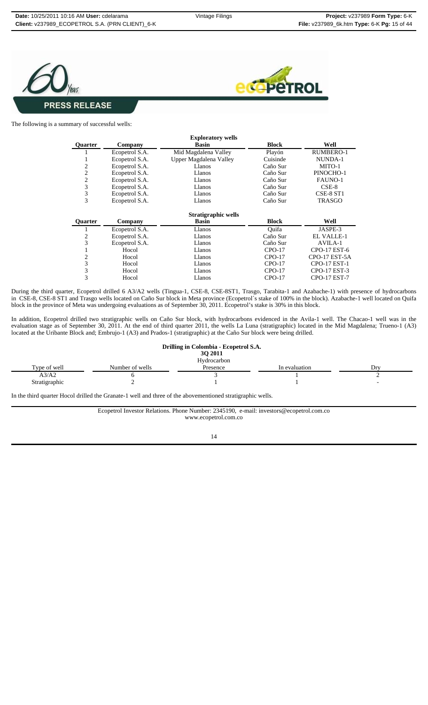



The following is a summary of successful wells:

| <b>Exploratory wells</b> |                |                        |              |                     |  |  |
|--------------------------|----------------|------------------------|--------------|---------------------|--|--|
| <b>Ouarter</b>           | Company        | <b>Basin</b>           | <b>Block</b> | Well                |  |  |
|                          | Ecopetrol S.A. | Mid Magdalena Valley   | Playón       | <b>RUMBERO-1</b>    |  |  |
|                          | Ecopetrol S.A. | Upper Magdalena Valley | Cuisinde     | NUNDA-1             |  |  |
| 2                        | Ecopetrol S.A. | Llanos                 | Caño Sur     | MITO-1              |  |  |
| 2                        | Ecopetrol S.A. | Llanos                 | Caño Sur     | PINOCHO-1           |  |  |
| 2                        | Ecopetrol S.A. | Llanos                 | Caño Sur     | FAUNO-1             |  |  |
| 3                        | Ecopetrol S.A. | Llanos                 | Caño Sur     | $CSE-8$             |  |  |
| 3                        | Ecopetrol S.A. | Llanos                 | Caño Sur     | CSE-8 ST1           |  |  |
| 3                        | Ecopetrol S.A. | Llanos                 | Caño Sur     | <b>TRASGO</b>       |  |  |
|                          |                | Stratigraphic wells    |              |                     |  |  |
| <b>Ouarter</b>           | Company        | <b>Basin</b>           | <b>Block</b> | Well                |  |  |
|                          | Ecopetrol S.A. | Llanos                 | Ouifa        | JASPE-3             |  |  |
| 2                        | Ecopetrol S.A. | Llanos                 | Caño Sur     | <b>EL VALLE-1</b>   |  |  |
| 3                        | Ecopetrol S.A. | Llanos                 | Caño Sur     | AVILA-1             |  |  |
|                          | Hocol          | Llanos                 | $CPO-17$     | CPO-17 EST-6        |  |  |
| 2                        | Hocol          | Llanos                 | $CPO-17$     | CPO-17 EST-5A       |  |  |
| 3                        | Hocol          | Llanos                 | $CPO-17$     | CPO-17 EST-1        |  |  |
| 3                        | Hocol          | Llanos                 | $CPO-17$     | CPO-17 EST-3        |  |  |
| 3                        | Hocol          | Llanos                 | $CPO-17$     | <b>CPO-17 EST-7</b> |  |  |

During the third quarter, Ecopetrol drilled 6 A3/A2 wells (Tingua-1, CSE-8, CSE-8ST1, Trasgo, Tarabita-1 and Azabache-1) with presence of hydrocarbons in CSE-8, CSE-8 ST1 and Trasgo wells located on Caño Sur block in Meta province (Ecopetrol´s stake of 100% in the block). Azabache-1 well located on Quifa block in the province of Meta was undergoing evaluations as of September 30, 2011. Ecopetrol's stake is 30% in this block.

In addition, Ecopetrol drilled two stratigraphic wells on Caño Sur block, with hydrocarbons evidenced in the Avila-1 well. The Chacao-1 well was in the evaluation stage as of September 30, 2011. At the end of third quarter 2011, the wells La Luna (stratigraphic) located in the Mid Magdalena; Trueno-1 (A3) located at the Uribante Block and; Embrujo-1 (A3) and Prados-1 (stratigraphic) at the Caño Sur block were being drilled.

|               |                 | Drilling in Colombia - Ecopetrol S.A.<br><b>3O 2011</b><br>Hydrocarbon |               |      |
|---------------|-----------------|------------------------------------------------------------------------|---------------|------|
| Type of well  | Number of wells | Presence                                                               | In evaluation | Drv. |
| A3/A2         |                 |                                                                        |               |      |
| Stratigraphic |                 |                                                                        |               |      |

In the third quarter Hocol drilled the Granate-1 well and three of the abovementioned stratigraphic wells.

Ecopetrol Investor Relations. Phone Number: 2345190, e-mail: investors@ecopetrol.com.co www.ecopetrol.com.co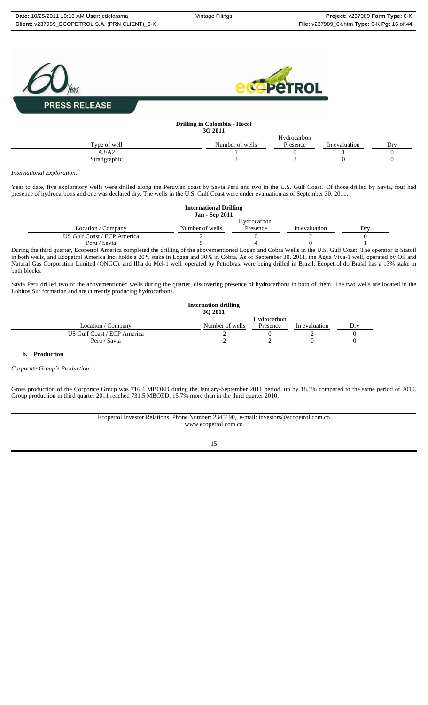

*International Exploration:*

Year to date, five exploratory wells were drilled along the Peruvian coast by Savia Perú and two in the U.S. Gulf Coast. Of those drilled by Savia, four had presence of hydrocarbons and one was declared dry. The wells in the U.S. Gulf Coast were under evaluation as of September 30, 2011.

|                                                                                                                                                     | <b>International Drilling</b><br><b>Jan - Sep 2011</b> |             |               |     |  |
|-----------------------------------------------------------------------------------------------------------------------------------------------------|--------------------------------------------------------|-------------|---------------|-----|--|
|                                                                                                                                                     |                                                        | Hydrocarbon |               |     |  |
| Location / Company                                                                                                                                  | Number of wells                                        | Presence    | In evaluation | Drv |  |
| US Gulf Coast / ECP America                                                                                                                         |                                                        |             |               |     |  |
| Peru / Savia                                                                                                                                        |                                                        |             |               |     |  |
| During the third querter. Econotrol America completed the drilling of the epoxementioned Legen and Cohre Wells in the U.C. Culf Coast. The epocator |                                                        |             |               |     |  |

During the third quarter, Ecopetrol America completed the drilling of the abovementioned Logan and Cobra Wells in the U.S. Gulf Coast. The operator is Statoil in both wells, and Ecopetrol America Inc. holds a 20% stake in Logan and 30% in Cobra. As of September 30, 2011, the Agua Viva-1 well, operated by Oil and Natural Gas Corporation Limited (ONGC), and Ilha do Mel-1 well, operated by Petrobras, were being drilled in Brazil. Ecopetrol do Brasil has a 13% stake in both blocks.

Savia Peru drilled two of the abovementioned wells during the quarter, discovering presence of hydrocarbons in both of them. The two wells are located in the Lobitos Sur formation and are currently producing hydrocarbons.

|                             | <b>Internation drilling</b><br>30 2011 |             |               |     |
|-----------------------------|----------------------------------------|-------------|---------------|-----|
|                             |                                        | Hydrocarbon |               |     |
| Location / Company          | Number of wells                        | Presence    | In evaluation | Drv |
| US Gulf Coast / ECP America |                                        |             |               |     |
| Peru / Savia                |                                        |             |               |     |

## **b. Production**

*Corporate Group´s Production:*

Gross production of the Corporate Group was 716.4 MBOED during the January-September 2011 period, up by 18.5% compared to the same period of 2010. Group production in third quarter 2011 reached 731.5 MBOED, 15.7% more than in the third quarter 2010.

> Ecopetrol Investor Relations. Phone Number: 2345190, e-mail: investors@ecopetrol.com.co www.ecopetrol.com.co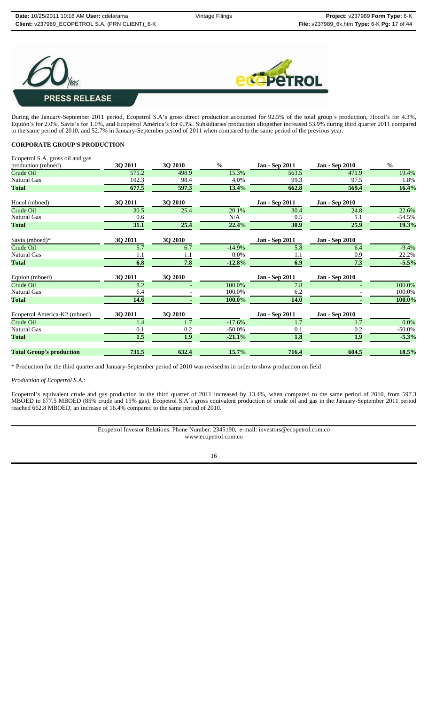



During the January-September 2011 period, Ecopetrol S.A's gross direct production accounted for 92.5% of the total group´s production, Hocol's for 4.3%, Equión's for 2.0%, Savia's for 1.0%, and Ecopetrol América's for 0.3%. Subsidiaries´production altogether increased 53.9% during third quarter 2011 compared to the same period of 2010, and 52.7% in January-September period of 2011 when compared to the same period of the previous year.

## **CORPORATE GROUP'S PRODUCTION**

| Ecopetrol S.A. gross oil and gas |         |                |               |                       |                       |               |
|----------------------------------|---------|----------------|---------------|-----------------------|-----------------------|---------------|
| production (mboed)               | 3Q 2011 | 3Q 2010        | $\frac{6}{6}$ | Jan - Sep 2011        | <b>Jan - Sep 2010</b> | $\frac{0}{0}$ |
| Crude Oil                        | 575.2   | 498.9          | 15.3%         | 563.5                 | 471.9                 | 19.4%         |
| Natural Gas                      | 102.3   | 98.4           | 4.0%          | 99.3                  | 97.5                  | 1.8%          |
| <b>Total</b>                     | 677.5   | 597.3          | 13.4%         | 662.8                 | 569.4                 | 16.4%         |
| Hocol (mboed)                    | 3Q 2011 | <b>3Q 2010</b> |               | Jan - Sep 2011        | <b>Jan - Sep 2010</b> |               |
| Crude Oil                        | 30.5    | 25.4           | 20.1%         | 30.4                  | 24.8                  | 22.6%         |
| <b>Natural Gas</b>               | 0.6     |                | N/A           | 0.5                   | 1.1                   | $-54.5%$      |
| <b>Total</b>                     | 31.1    | 25.4           | 22.4%         | 30.9                  | 25.9                  | 19.3%         |
| Savia (mboed)*                   | 3Q 2011 | 3Q 2010        |               | Jan - Sep 2011        | <b>Jan - Sep 2010</b> |               |
| Crude Oil                        | 5.7     | 6.7            | $-14.9%$      | 5.8                   | 6.4                   | $-9.4%$       |
| Natural Gas                      | 1.1     | 1.1            | 0.0%          | 1.1                   | 0.9                   | 22.2%         |
| <b>Total</b>                     | 6.8     | 7.8            | $-12.8%$      | 6.9                   | 7.3                   | $-5.5%$       |
| Equion (mboed)                   | 3Q 2011 | 3Q 2010        |               | <b>Jan - Sep 2011</b> | <b>Jan - Sep 2010</b> |               |
| Crude Oil                        | 8.2     |                | 100.0%        | 7.8                   |                       | 100.0%        |
| <b>Natural Gas</b>               | 6.4     |                | 100.0%        | 6.2                   |                       | 100.0%        |
| <b>Total</b>                     | 14.6    |                | 100.0%        | <b>14.0</b>           |                       | 100.0%        |
| Ecopetrol America-K2 (mboed)     | 3Q 2011 | 3Q 2010        |               | Jan - Sep 2011        | <b>Jan - Sep 2010</b> |               |
| Crude Oil                        | 1.4     | 1.7            | $-17.6%$      | 1.7                   | 1.7                   | 0.0%          |
| <b>Natural Gas</b>               | 0.1     | 0.2            | $-50.0\%$     | 0.1                   | 0.2                   | $-50.0\%$     |
| <b>Total</b>                     | $1.5$   | 1.9            | $-21.1%$      | 1.8                   | 1.9                   | $-5.3%$       |
| <b>Total Group's production</b>  | 731.5   | 632.4          | 15.7%         | 716.4                 | 604.5                 | 18.5%         |

\* Production for the third quarter and January-September period of 2010 was revised to in order to show production on field

*Production of Ecopetrol S.A.:*

Ecopetrol's equivalent crude and gas production in the third quarter of 2011 increased by 13.4%, when compared to the same period of 2010, from 597.3 MBOED to 677.5 MBOED (85% crude and 15% gas). Ecopetrol S.A´s gross equivalent production of crude oil and gas in the January-September 2011 period reached 662.8 MBOED, an increase of 16.4% compared to the same period of 2010.

> Ecopetrol Investor Relations. Phone Number: 2345190, e-mail: investors@ecopetrol.com.co www.ecopetrol.com.co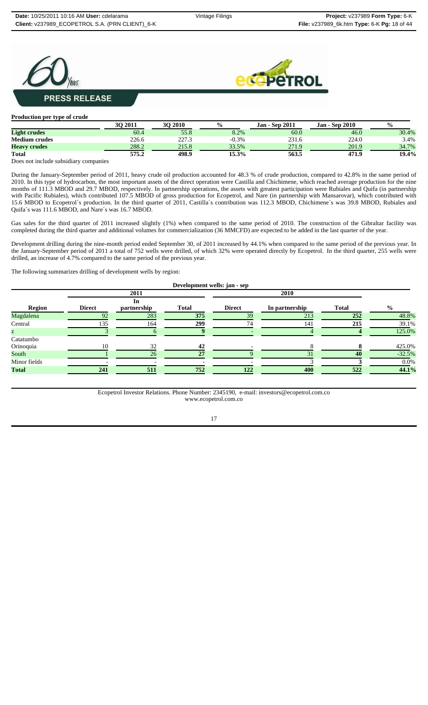



| <b>Production per type of crude</b> |         |                |               |                       |                       |               |
|-------------------------------------|---------|----------------|---------------|-----------------------|-----------------------|---------------|
|                                     | 30 2011 | <b>30 2010</b> | $\frac{0}{0}$ | <b>Jan - Sep 2011</b> | <b>Jan - Sep 2010</b> | $\frac{0}{0}$ |
| <b>Light crudes</b>                 | 60.4    | 55.8           | 8.2%          | 60.0                  | 46.0                  | 30.4%         |
| <b>Medium crudes</b>                | 226.6   | 227.3          | $-0.3%$       | 231.6                 | 224.0                 | 3.4%          |
| <b>Heavy crudes</b>                 | 288.2   | 215.8          | 33.5%         | 271.9                 | 201.9                 | 34.7%         |
| <b>Total</b>                        | 575.2   | 498.9          | 15.3%         | 563.5                 | 471.9                 | 19.4%         |

Does not include subsidiary companies

During the January-September period of 2011, heavy crude oil production accounted for 48.3 % of crude production, compared to 42.8% in the same period of 2010. In this type of hydrocarbon, the most important assets of the direct operation were Castilla and Chichimene, which reached average production for the nine months of 111.3 MBOD and 29.7 MBOD, respectively. In partnership operations, the assets with greatest participation were Rubiales and Quifa (in partnership with Pacific Rubiales), which contributed 107.5 MBOD of gross production for Ecopetrol, and Nare (in partnership with Mansarovar), which contributed with 15.6 MBOD to Ecopetrol´s production. In the third quarter of 2011, Castilla´s contribution was 112.3 MBOD, Chichimene´s was 39.8 MBOD, Rubiales and Quifa´s was 111.6 MBOD, and Nare´s was 16.7 MBOD.

Gas sales for the third quarter of 2011 increased slightly (1%) when compared to the same period of 2010. The construction of the Gibraltar facility was completed during the third quarter and additional volumes for commercialization (36 MMCFD) are expected to be added in the last quarter of the year.

Development drilling during the nine-month period ended September 30, of 2011 increased by 44.1% when compared to the same period of the previous year. In the January-September period of 2011 a total of 752 wells were drilled, of which 32% were operated directly by Ecopetrol. In the third quarter, 255 wells were drilled, an increase of 4.7% compared to the same period of the previous year.

The following summarizes drilling of development wells by region:

| Development wells: jan - sep |               |                   |              |               |                |              |               |  |  |
|------------------------------|---------------|-------------------|--------------|---------------|----------------|--------------|---------------|--|--|
|                              |               | 2011              |              |               | 2010           |              |               |  |  |
| <b>Region</b>                | <b>Direct</b> | In<br>partnership | <b>Total</b> | <b>Direct</b> | In partnership | <b>Total</b> | $\frac{0}{0}$ |  |  |
| Magdalena                    | 92            | 283               | 375          | 39            | 213            | 252          | 48.8%         |  |  |
| Central                      | 135           | 164               | 299          | 74            | 141            | 215          | 39.1%         |  |  |
| Z.                           |               |                   |              |               |                |              | 125.0%        |  |  |
| Catatumbo<br>Orinoquia       | 10            | 32                | 42           |               |                |              | 425.0%        |  |  |
| South                        |               | 26                | 27           |               | 31             | 40           | $-32.5%$      |  |  |
| Minor fields                 |               |                   |              |               |                |              | $0.0\%$       |  |  |
| <b>Total</b>                 | 241           | 511               | 752          | 122           | 400            | 522          | 44.1%         |  |  |

Ecopetrol Investor Relations. Phone Number: 2345190, e-mail: investors@ecopetrol.com.co www.ecopetrol.com.co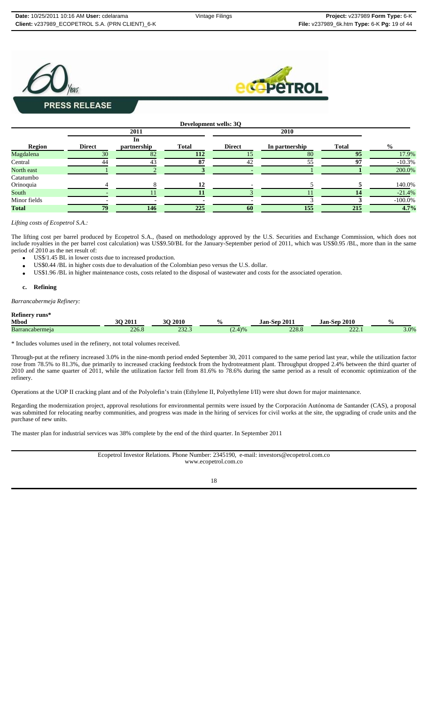



|               |               |             | Development wells: 3Q |               |                |              |               |  |
|---------------|---------------|-------------|-----------------------|---------------|----------------|--------------|---------------|--|
|               |               | 2011        |                       |               | 2010           |              |               |  |
|               | In            |             |                       |               |                |              |               |  |
| <b>Region</b> | <b>Direct</b> | partnership | <b>Total</b>          | <b>Direct</b> | In partnership | <b>Total</b> | $\frac{6}{9}$ |  |
| Magdalena     | 30            | 82          | 112                   |               | 80             | 95           | 17.9%         |  |
| Central       | 44            | 43          | 87                    | 42            | 55             | 97           | $-10.3%$      |  |
| North east    |               |             |                       |               |                |              | 200.0%        |  |
| Catatumbo     |               |             |                       |               |                |              |               |  |
| Orinoquia     |               |             | 12                    |               |                |              | 140.0%        |  |
| South         |               |             |                       |               |                | 14           | $-21.4%$      |  |
| Minor fields  |               |             |                       |               |                |              | $-100.0\%$    |  |
| <b>Total</b>  | 79            | 146         | 225                   | 60            | 155            | 215          | 4.7%          |  |

#### *Lifting costs of Ecopetrol S.A.:*

The lifting cost per barrel produced by Ecopetrol S.A., (based on methodology approved by the U.S. Securities and Exchange Commission, which does not include royalties in the per barrel cost calculation) was US\$9.50/BL for the January-September period of 2011, which was US\$0.95 /BL, more than in the same period of 2010 as the net result of:

- US\$/1.45 BL in lower costs due to increased production.
- US\$0.44 /BL in higher costs due to devaluation of the Colombian peso versus the U.S. dollar.
- US\$1.96 /BL in higher maintenance costs, costs related to the disposal of wastewater and costs for the associated operation.

#### **c. Refining**

*Barrancabermeja Refinery:*

### **Refinery runs\***

| <b>Mbod</b>            | 2011         | 2010<br>nΩ    |             | 201<br>.lan-<br>.Sen | 2010<br>Jan<br>-Sen- | $\mathbf{O}_{\mathbf{O}}$ |
|------------------------|--------------|---------------|-------------|----------------------|----------------------|---------------------------|
| <b>Barrancabermeia</b> | າາເ<br>440.G | $\sim$<br>___ | $\sqrt{11}$ | $\sim$<br>220.0      | $\sim$<br>444.I      | 3.0%                      |

\* Includes volumes used in the refinery, not total volumes received.

Through-put at the refinery increased 3.0% in the nine-month period ended September 30, 2011 compared to the same period last year, while the utilization factor rose from 78.5% to 81.3%, due primarily to increased cracking feedstock from the hydrotreatment plant. Throughput dropped 2.4% between the third quarter of 2010 and the same quarter of 2011, while the utilization factor fell from 81.6% to 78.6% during the same period as a result of economic optimization of the refinery.

Operations at the UOP II cracking plant and of the Polyolefin's train (Ethylene II, Polyethylene I/II) were shut down for major maintenance.

Regarding the modernization project, approval resolutions for environmental permits were issued by the Corporación Autónoma de Santander (CAS), a proposal was submitted for relocating nearby communities, and progress was made in the hiring of services for civil works at the site, the upgrading of crude units and the purchase of new units.

The master plan for industrial services was 38% complete by the end of the third quarter. In September 2011

Ecopetrol Investor Relations. Phone Number: 2345190, e-mail: investors@ecopetrol.com.co www.ecopetrol.com.co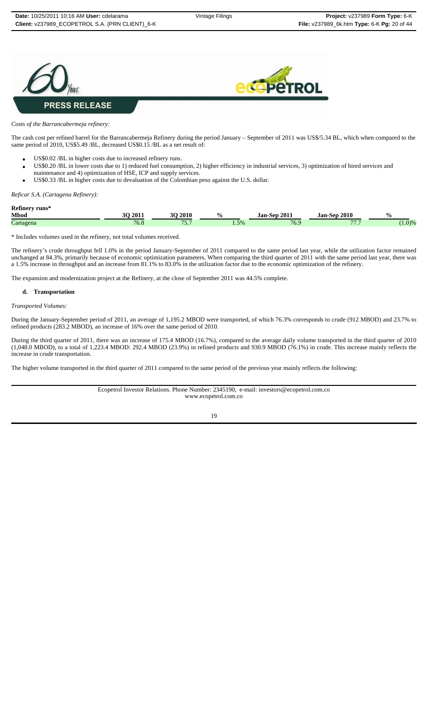



*Costs of the Barrancabermeja refinery:*

The cash cost per refined barrel for the Barrancabermeja Refinery during the period January – September of 2011 was US\$/5.34 BL, which when compared to the same period of 2010, US\$5.49 /BL, decreased US\$0.15 /BL as a net result of:

- US\$0.02 /BL in higher costs due to increased refinery runs.
- US\$0.20 /BL in lower costs due to 1) reduced fuel consumption, 2) higher efficiency in industrial services, 3) optimization of hired services and maintenance and 4) optimization of HSE, ICP and supply services.
- US\$0.33 /BL in higher costs due to devaluation of the Colombian peso against the U.S. dollar.

*Reficar S.A. (Cartagena Refinery):*

**Refinery runs\***

| Mbod      | <b>3O 2011</b> | 2010<br>$\sim$<br>л.            | . .<br>70    | $-2011$<br>Jan-<br>-Sen- | 2010<br>Jan-Sep     | $\frac{0}{0}$ |
|-----------|----------------|---------------------------------|--------------|--------------------------|---------------------|---------------|
| Cartagena | 76.8           | 75 <sub>7</sub><br>. <i>. .</i> | 50/<br>1.570 | 7 <sup>C</sup><br>10.2   | $\overline{m}$<br>. | (1.0)%        |

\* Includes volumes used in the refinery, not total volumes received.

The refinery's crude throughput fell 1.0% in the period January-September of 2011 compared to the same period last year, while the utilization factor remained unchanged at 84.3%, primarily because of economic optimization parameters. When comparing the third quarter of 2011 with the same period last year, there was a 1.5% increase in throughput and an increase from 81.1% to 83.0% in the utilization factor due to the economic optimization of the refinery.

The expansion and modernization project at the Refinery, at the close of September 2011 was 44.5% complete.

#### **d. Transportation**

*Transported Volumes:*

During the January-September period of 2011, an average of 1,195.2 MBOD were transported, of which 76.3% corresponds to crude (912 MBOD) and 23.7% to refined products (283.2 MBOD), an increase of 16% over the same period of 2010.

During the third quarter of 2011, there was an increase of 175.4 MBOD (16.7%), compared to the average daily volume transported in the third quarter of 2010 (1,048.0 MBOD), to a total of 1,223.4 MBOD: 292.4 MBOD (23.9%) in refined products and 930.9 MBOD (76.1%) in crude. This increase mainly reflects the increase in crude transportation.

The higher volume transported in the third quarter of 2011 compared to the same period of the previous year mainly reflects the following:

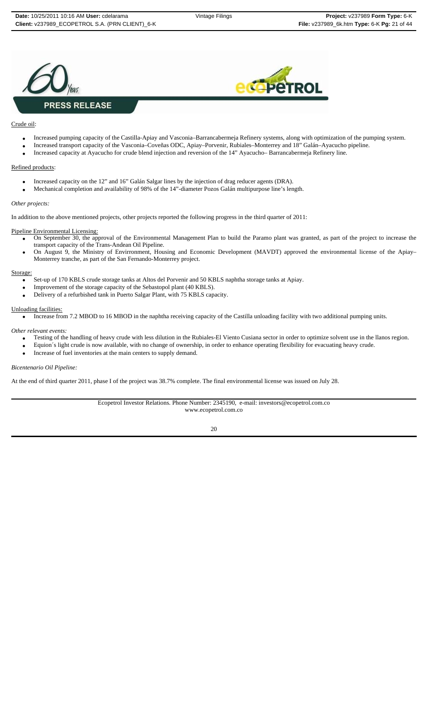



### Crude oil:

- Increased pumping capacity of the Castilla-Apiay and Vasconia–Barrancabermeja Refinery systems, along with optimization of the pumping system.
- Increased transport capacity of the Vasconia–Coveñas ODC, Apiay–Porvenir, Rubiales–Monterrey and 18" Galán–Ayacucho pipeline.
- Increased capacity at Ayacucho for crude blend injection and reversion of the 14" Ayacucho– Barrancabermeja Refinery line.

#### Refined products:

- Increased capacity on the 12" and 16" Galán Salgar lines by the injection of drag reducer agents (DRA).
- Mechanical completion and availability of 98% of the 14"-diameter Pozos Galán multipurpose line's length.

#### *Other projects:*

In addition to the above mentioned projects, other projects reported the following progress in the third quarter of 2011:

### Pipeline Environmental Licensing:

- On September 30, the approval of the Environmental Management Plan to build the Paramo plant was granted, as part of the project to increase the transport capacity of the Trans-Andean Oil Pipeline.
- On August 9, the Ministry of Envirronment, Housing and Economic Development (MAVDT) approved the environmental license of the Apiay– Monterrey tranche, as part of the San Fernando-Monterrey project.

#### Storage:

- Set-up of 170 KBLS crude storage tanks at Altos del Porvenir and 50 KBLS naphtha storage tanks at Apiay.
- Improvement of the storage capacity of the Sebastopol plant (40 KBLS).
- Delivery of a refurbished tank in Puerto Salgar Plant, with 75 KBLS capacity.

#### Unloading facilities:

• Increase from 7.2 MBOD to 16 MBOD in the naphtha receiving capacity of the Castilla unloading facility with two additional pumping units.

*Other relevant events:*

- Testing of the handling of heavy crude with less dilution in the Rubiales-El Viento Cusiana sector in order to optimize solvent use in the llanos region.
- Equion´s light crude is now available, with no change of ownership, in order to enhance operating flexibility for evacuating heavy crude.
- Increase of fuel inventories at the main centers to supply demand.

#### *Bicentenario Oil Pipeline:*

At the end of third quarter 2011, phase I of the project was 38.7% complete. The final environmental license was issued on July 28.

Ecopetrol Investor Relations. Phone Number: 2345190, e-mail: investors@ecopetrol.com.co www.ecopetrol.com.co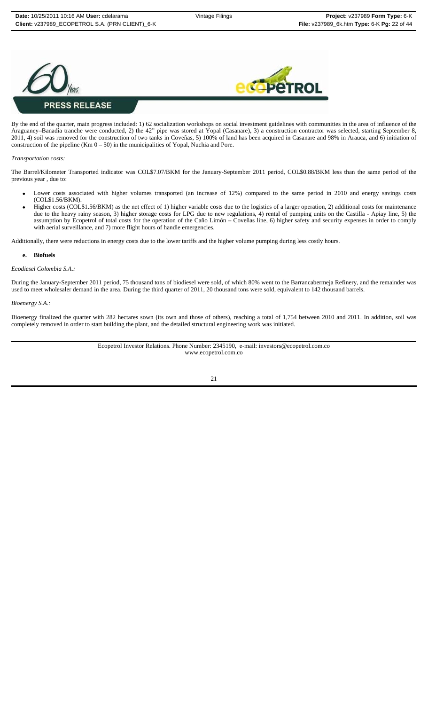



By the end of the quarter, main progress included: 1) 62 socialization workshops on social investment guidelines with communities in the area of influence of the Araguaney–Banadía tranche were conducted, 2) the 42" pipe was stored at Yopal (Casanare), 3) a construction contractor was selected, starting September 8, 2011, 4) soil was removed for the construction of two tanks in Coveñas, 5) 100% of land has been acquired in Casanare and 98% in Arauca, and 6) initiation of construction of the pipeline (Km  $0 - 50$ ) in the municipalities of Yopal, Nuchia and Pore.

#### *Transportation costs:*

The Barrel/Kilometer Transported indicator was COL\$7.07/BKM for the January-September 2011 period, COL\$0.88/BKM less than the same period of the previous year , due to:

- Lower costs associated with higher volumes transported (an increase of 12%) compared to the same period in 2010 and energy savings costs (COL\$1.56/BKM).
- Higher costs (COL\$1.56/BKM) as the net effect of 1) higher variable costs due to the logistics of a larger operation, 2) additional costs for maintenance due to the heavy rainy season, 3) higher storage costs for LPG due to new regulations, 4) rental of pumping units on the Castilla - Apiay line, 5) the assumption by Ecopetrol of total costs for the operation of the Caño Limón – Coveñas line, 6) higher safety and security expenses in order to comply with aerial surveillance, and 7) more flight hours of handle emergencies.

Additionally, there were reductions in energy costs due to the lower tariffs and the higher volume pumping during less costly hours.

#### **e. Biofuels**

#### *Ecodiesel Colombia S.A.:*

During the January-September 2011 period, 75 thousand tons of biodiesel were sold, of which 80% went to the Barrancabermeja Refinery, and the remainder was used to meet wholesaler demand in the area. During the third quarter of 2011, 20 thousand tons were sold, equivalent to 142 thousand barrels.

#### *Bioenergy S.A.:*

Bioenergy finalized the quarter with 282 hectares sown (its own and those of others), reaching a total of 1,754 between 2010 and 2011. In addition, soil was completely removed in order to start building the plant, and the detailed structural engineering work was initiated.

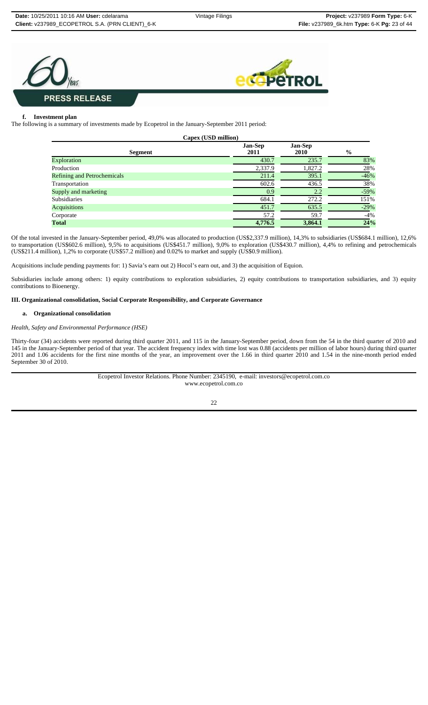



#### **f. Investment plan**

The following is a summary of investments made by Ecopetrol in the January-September 2011 period:

|                                    | Capex (USD million)    |                        |               |
|------------------------------------|------------------------|------------------------|---------------|
| <b>Segment</b>                     | <b>Jan-Sep</b><br>2011 | <b>Jan-Sep</b><br>2010 | $\frac{6}{9}$ |
| <b>Exploration</b>                 | 430.7                  | 235.7                  | 83%           |
| Production                         | 2,337.9                | 1,827.2                | 28%           |
| <b>Refining and Petrochemicals</b> | 211.4                  | 395.1                  | $-46%$        |
| Transportation                     | 602.6                  | 436.5                  | 38%           |
| Supply and marketing               | 0.9                    | 2.2                    | $-59%$        |
| <b>Subsidiaries</b>                | 684.1                  | 272.2                  | 151%          |
| <b>Acquisitions</b>                | 451.7                  | 635.5                  | $-29%$        |
| Corporate                          | 57.2                   | 59.7                   | -4%           |
| <b>Total</b>                       | 4,776.5                | 3,864.1                | 24%           |

Of the total invested in the January-September period, 49,0% was allocated to production (US\$2,337.9 million), 14,3% to subsidiaries (US\$684.1 million), 12,6% to transportation (US\$602.6 million), 9,5% to acquisitions (US\$451.7 million), 9,0% to exploration (US\$430.7 million), 4,4% to refining and petrochemicals (US\$211.4 million), 1,2% to corporate (US\$57.2 million) and 0.02% to market and supply (US\$0.9 million).

Acquisitions include pending payments for: 1) Savia's earn out 2) Hocol's earn out, and 3) the acquisition of Equion.

Subsidiaries include among others: 1) equity contributions to exploration subsidiaries, 2) equity contributions to transportation subsidiaries, and 3) equity contributions to Bioenergy.

### **III. Organizational consolidation, Social Corporate Responsibility, and Corporate Governance**

#### **a. Organizational consolidation**

#### *Health, Safety and Environmental Performance (HSE)*

Thirty-four (34) accidents were reported during third quarter 2011, and 115 in the January-September period, down from the 54 in the third quarter of 2010 and 145 in the January-September period of that year. The accident frequency index with time lost was 0.88 (accidents per million of labor hours) during third quarter 2011 and 1.06 accidents for the first nine months of the year, an improvement over the 1.66 in third quarter 2010 and 1.54 in the nine-month period ended September 30 of 2010.

> Ecopetrol Investor Relations. Phone Number: 2345190, e-mail: investors@ecopetrol.com.co www.ecopetrol.com.co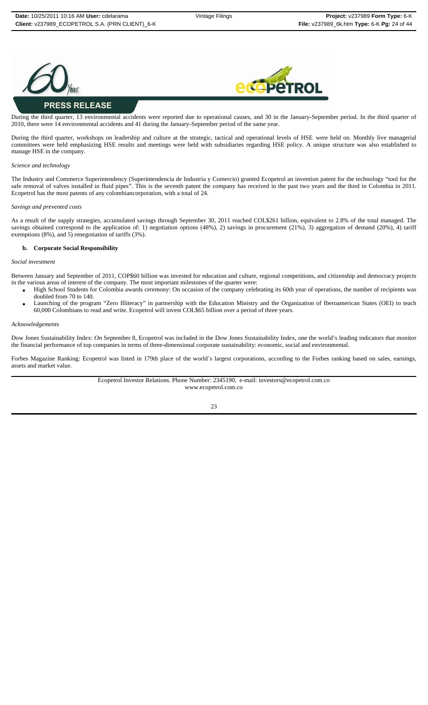



# **PRESS RELEASE**

During the third quarter, 13 environmental accidents were reported due to operational causes, and 30 in the January-September period. In the third quarter of 2010, there were 14 environmental accidents and 41 during the January-September period of the same year.

During the third quarter, workshops on leadership and culture at the strategic, tactical and operational levels of HSE were held on. Monthly live managerial committees were held emphasizing HSE results and meetings were held with subsidiaries regarding HSE policy. A unique structure was also established to manage HSE in the company.

#### *Science and technology*

The Industry and Commerce Superintendency (Superintendencia de Industria y Comercio) granted Ecopetrol an invention patent for the technology "tool for the safe removal of valves installed in fluid pipes". This is the seventh patent the company has received in the past two years and the third in Colombia in 2011. Ecopetrol has the most patents of any colombiancorporation, with a total of 24.

#### *Savings and prevented costs*

As a result of the supply strategies, accumulated savings through September 30, 2011 reached COL\$261 billion, equivalent to 2.8% of the total managed. The savings obtained correspond to the application of: 1) negotiation options (48%), 2) savings in procurement (21%), 3) aggregation of demand (20%), 4) tariff exemptions (8%), and 5) renegotiation of tariffs (3%).

#### **b. Corporate Social Responsibility**

#### *Social investment*

Between January and September of 2011, COP\$60 billion was invested for education and culture, regional competitions, and citizenship and democracy projects in the various areas of interest of the company. The most important milestones of the quarter were:

- High School Students for Colombia awards ceremony: On occasion of the company celebrating its 60th year of operations, the number of recipients was doubled from 70 to 140.
- Launching of the program "Zero Illiteracy" in partnership with the Education Ministry and the Organization of Iberoamerican States (OEI) to teach 60,000 Colombians to read and write. Ecopetrol will invest COL\$65 billion over a period of three years.

#### *Acknowledgements*

Dow Jones Sustainability Index: On September 8, Ecopetrol was included in the Dow Jones Sustainability Index, one the world's leading indicators that monitor the financial performance of top companies in terms of three-dimensional corporate sustainability: economic, social and environmental.

Forbes Magazine Ranking: Ecopetrol was listed in 179th place of the world´s largest corporations, according to the Forbes ranking based on sales, earnings, assets and market value.

> Ecopetrol Investor Relations. Phone Number: 2345190, e-mail: investors@ecopetrol.com.co www.ecopetrol.com.co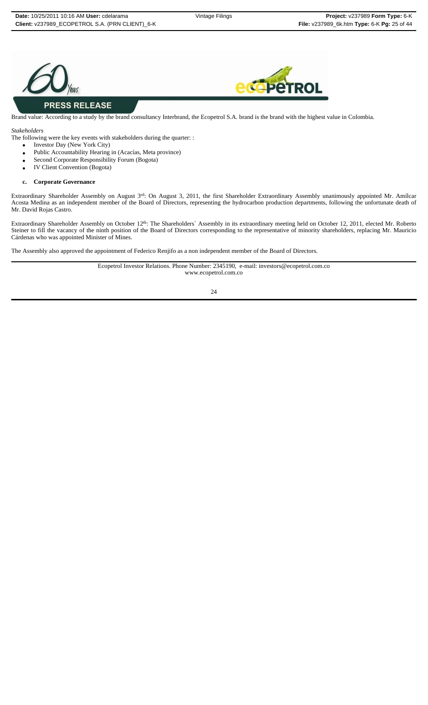



# **PRESS RELEASE**

Brand value: According to a study by the brand consultancy Interbrand, the Ecopetrol S.A. brand is the brand with the highest value in Colombia.

*Stakeholders*

The following were the key events with stakeholders during the quarter: :

- Investor Day (New York City)
- Public Accountability Hearing in (Acacías, Meta province)
- Second Corporate Responsibility Forum (Bogota)
- IV Client Convention (Bogota)

## **c. Corporate Governance**

Extraordinary Shareholder Assembly on August 3<sup>rd</sup>: On August 3, 2011, the first Shareholder Extraordinary Assembly unanimously appointed Mr. Amílcar Acosta Medina as an independent member of the Board of Directors, representing the hydrocarbon production departments, following the unfortunate death of Mr. David Rojas Castro.

Extraordinary Shareholder Assembly on October 12<sup>th</sup>: The Shareholders´ Assembly in its extraordinary meeting held on October 12, 2011, elected Mr. Roberto Steiner to fill the vacancy of the ninth position of the Board of Directors corresponding to the representative of minority shareholders, replacing Mr. Mauricio Cárdenas who was appointed Minister of Mines.

The Assembly also approved the appointment of Federico Renjifo as a non independent member of the Board of Directors.

Ecopetrol Investor Relations. Phone Number: 2345190, e-mail: investors@ecopetrol.com.co www.ecopetrol.com.co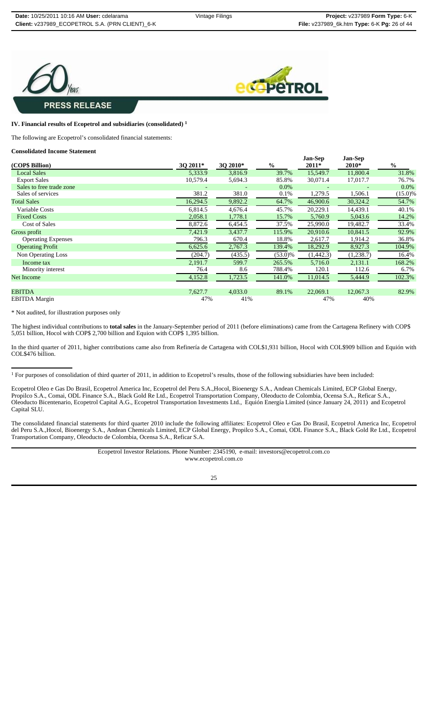



## **IV. Financial results of Ecopetrol and subsidiaries (consolidated) 1**

The following are Ecopetrol's consolidated financial statements:

#### **Consolidated Income Statement**

| (COP\$ Billion)           | 3Q 2011* | 3Q 2010* | $\%$       | <b>Jan-Sep</b><br>2011* | Jan-Sep<br>2010* | $\frac{0}{0}$ |
|---------------------------|----------|----------|------------|-------------------------|------------------|---------------|
| <b>Local Sales</b>        | 5,333.9  | 3,816.9  | 39.7%      | 15,549.7                | 11,800.4         | 31.8%         |
| <b>Export Sales</b>       | 10,579.4 | 5,694.3  | 85.8%      | 30,071.4                | 17,017.7         | 76.7%         |
| Sales to free trade zone  |          |          | $0.0\%$    |                         |                  | $0.0\%$       |
| Sales of services         | 381.2    | 381.0    | 0.1%       | 1,279.5                 | 1,506.1          | $(15.0)\%$    |
| <b>Total Sales</b>        | 16,294.5 | 9,892.2  | 64.7%      | 46,900.6                | 30,324.2         | 54.7%         |
| Variable Costs            | 6,814.5  | 4,676.4  | 45.7%      | 20,229.1                | 14,439.1         | 40.1%         |
| <b>Fixed Costs</b>        | 2,058.1  | 1,778.1  | 15.7%      | 5,760.9                 | 5,043.6          | 14.2%         |
| <b>Cost of Sales</b>      | 8,872.6  | 6,454.5  | 37.5%      | 25,990.0                | 19,482.7         | 33.4%         |
| Gross profit              | 7,421.9  | 3,437.7  | 115.9%     | 20,910.6                | 10,841.5         | 92.9%         |
| <b>Operating Expenses</b> | 796.3    | 670.4    | 18.8%      | 2,617.7                 | 1,914.2          | 36.8%         |
| <b>Operating Profit</b>   | 6,625.6  | 2,767.3  | 139.4%     | 18,292.9                | 8,927.3          | 104.9%        |
| Non Operating Loss        | (204.7)  | (435.5)  | $(53.0)\%$ | (1,442.3)               | (1,238.7)        | 16.4%         |
| Income tax                | 2,191.7  | 599.7    | 265.5%     | 5,716.0                 | 2,131.1          | 168.2%        |
| Minority interest         | 76.4     | 8.6      | 788.4%     | 120.1                   | 112.6            | 6.7%          |
| Net Income                | 4,152.8  | 1,723.5  | 141.0%     | 11,014.5                | 5,444.9          | 102.3%        |
| <b>EBITDA</b>             | 7,627.7  | 4,033.0  | 89.1%      | 22,069.1                | 12,067.3         | 82.9%         |
| <b>EBITDA</b> Margin      | 47%      | 41%      |            | 47%                     | 40%              |               |

\* Not audited, for illustration purposes only

The highest individual contributions to **total sales** in the January-September period of 2011 (before eliminations) came from the Cartagena Refinery with COP\$ 5,051 billion, Hocol with COP\$ 2,700 billion and Equion with COP\$ 1,395 billion.

In the third quarter of 2011, higher contributions came also from Refinería de Cartagena with COL\$1,931 billion, Hocol with COL\$909 billion and Equión with COL\$476 billion.

Ecopetrol Oleo e Gas Do Brasil, Ecopetrol America Inc, Ecopetrol del Peru S.A.,Hocol, Bioenergy S.A., Andean Chemicals Limited, ECP Global Energy, Propilco S.A., Comai, ODL Finance S.A., Black Gold Re Ltd., Ecopetrol Transportation Company, Oleoducto de Colombia, Ocensa S.A., Reficar S.A., Oleoducto Bicentenario, Ecopetrol Capital A.G., Ecopetrol Transportation Investments Ltd., Equión Energía Limited (since January 24, 2011) and Ecopetrol Capital SLU.

The consolidated financial statements for third quarter 2010 include the following affiliates: Ecopetrol Oleo e Gas Do Brasil, Ecopetrol America Inc, Ecopetrol del Peru S.A.,Hocol, Bioenergy S.A., Andean Chemicals Limited, ECP Global Energy, Propilco S.A., Comai, ODL Finance S.A., Black Gold Re Ltd., Ecopetrol Transportation Company, Oleoducto de Colombia, Ocensa S.A., Reficar S.A.

> Ecopetrol Investor Relations. Phone Number: 2345190, e-mail: investors@ecopetrol.com.co www.ecopetrol.com.co

 $1$  For purposes of consolidation of third quarter of 2011, in addition to Ecopetrol's results, those of the following subsidiaries have been included: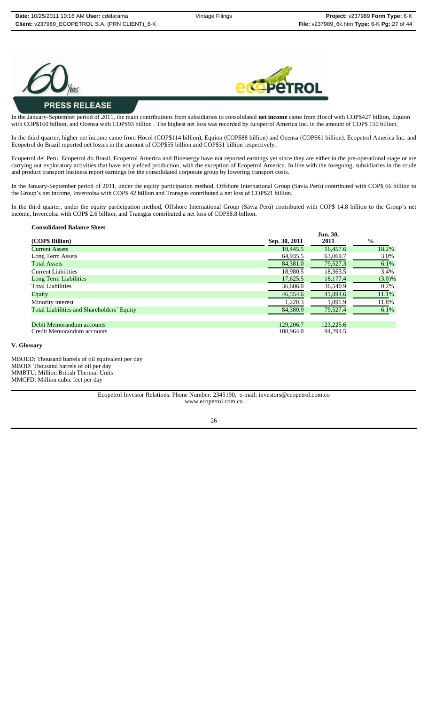



# **PRESS RELEASE**

In the January-September period of 2011, the main contributions from subsidiaries to consolidated **net income** came from Hocol with COP\$427 billion, Equion with COP\$160 billion, and Ocensa with COP\$93 billion . The highest net loss was recorded by Ecopetrol America Inc. in the amount of COP\$ 150 billion.

In the third quarter, higher net income came from Hocol (COP\$114 billion), Equion (COP\$88 billion) and Ocensa (COP\$61 billion). Ecopetrol America Inc. and Ecopetrol do Brazil reported net losses in the amount of COP\$55 billion and COP\$31 billion respectively.

Ecopetrol del Peru, Ecopetrol do Brasil, Ecopetrol America and Bioenergy have not reported earnings yet since they are either in the pre-operational stage or are carrying out exploratory activities that have not yielded production, with the exception of Ecopetrol America. In line with the foregoing, subsidiaries in the crude and product transport business report earnings for the consolidated corporate group by lowering transport costs.

In the January-September period of 2011, under the equity participation method, Offshore International Group (Savia Perú) contributed with COP\$ 66 billion to the Group's net income, Invercolsa with COP\$ 42 billion and Transgas contributed a net loss of COP\$21 billion.

In the third quarter, under the equity participation method, Offshore International Group (Savia Perú) contributed with COP\$ 14.8 billion to the Group's net income, Invercolsa with COP\$ 2.6 billion, and Transgas contributed a net loss of COP\$8.8 billion.

## **Consolidated Balance Sheet**

| (COP\$ Billion)                            | Sep. 30, 2011 | Jun. 30,<br>2011 | $\frac{6}{9}$ |
|--------------------------------------------|---------------|------------------|---------------|
| <b>Current Assets</b>                      | 19.445.5      | 16,457.6         | 18.2%         |
| Long Term Assets                           | 64,935.5      | 63,069.7         | 3.0%          |
| <b>Total Assets</b>                        | 84,381.0      | 79,527.3         | $6.1\%$       |
| <b>Current Liabilities</b>                 | 18.980.5      | 18.363.5         | 3.4%          |
| <b>Long Term Liabilities</b>               | 17,625.5      | 18,177.4         | $(3.0)\%$     |
| <b>Total Liabilities</b>                   | 36,606.0      | 36,540.9         | 0.2%          |
| Equity                                     | 46,554.6      | 41,894.6         | 11.1%         |
| Minority interest                          | 1,220.3       | 1.091.9          | 11.8%         |
| Total Liabilities and Shareholders' Equity | 84.380.9      | 79,527.4         | $6.1\%$       |
| Debit Memorandum accounts                  | 129,206.7     | 123,225.6        |               |
| Credit Memorandum accounts                 | 108,964.0     | 94.294.5         |               |

#### **V. Glossary**

MBOED: Thousand barrels of oil equivalent per day MBOD: Thousand barrels of oil per day MMBTU: Million British Thermal Units MMCFD: Million cubic feet per day

> Ecopetrol Investor Relations. Phone Number: 2345190, e-mail: investors@ecopetrol.com.co www.ecopetrol.com.co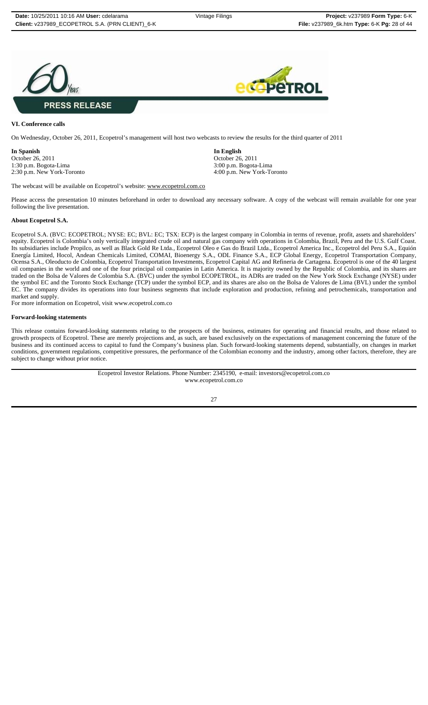



#### **VI. Conference calls**

On Wednesday, October 26, 2011, Ecopetrol's management will host two webcasts to review the results for the third quarter of 2011

**In Spanish 1. In English In English In English In English October 26, 2011** 1:30 p.m. Bogota-Lima 3:00 p.m. Bogota-Lima 3:00 p.m. Bogota-Lima 3:00 p.m. Bogota-Lima 3:00 p.m. Bogota-Lima

October 26, 2011 2:30 p.m. New York-Toronto 4:00 p.m. New York-Toronto

The webcast will be available on Ecopetrol's website: www.ecopetrol.com.co

Please access the presentation 10 minutes beforehand in order to download any necessary software. A copy of the webcast will remain available for one year following the live presentation.

#### **About Ecopetrol S.A.**

Ecopetrol S.A. (BVC: ECOPETROL; NYSE: EC; BVL: EC; TSX: ECP) is the largest company in Colombia in terms of revenue, profit, assets and shareholders' equity. Ecopetrol is Colombia's only vertically integrated crude oil and natural gas company with operations in Colombia, Brazil, Peru and the U.S. Gulf Coast. Its subsidiaries include Propilco, as well as Black Gold Re Ltda., Ecopetrol Oleo e Gas do Brazil Ltda., Ecopetrol America Inc., Ecopetrol del Peru S.A., Equión Energía Limited, Hocol, Andean Chemicals Limited, COMAI, Bioenergy S.A., ODL Finance S.A., ECP Global Energy, Ecopetrol Transportation Company, Ocensa S.A., Oleoducto de Colombia, Ecopetrol Transportation Investments, Ecopetrol Capital AG and Refineria de Cartagena. Ecopetrol is one of the 40 largest oil companies in the world and one of the four principal oil companies in Latin America. It is majority owned by the Republic of Colombia, and its shares are traded on the Bolsa de Valores de Colombia S.A. (BVC) under the symbol ECOPETROL, its ADRs are traded on the New York Stock Exchange (NYSE) under the symbol EC and the Toronto Stock Exchange (TCP) under the symbol ECP, and its shares are also on the Bolsa de Valores de Lima (BVL) under the symbol EC. The company divides its operations into four business segments that include exploration and production, refining and petrochemicals, transportation and market and supply.

For more information on Ecopetrol, visit www.ecopetrol.com.co

#### **Forward-looking statements**

This release contains forward-looking statements relating to the prospects of the business, estimates for operating and financial results, and those related to growth prospects of Ecopetrol. These are merely projections and, as such, are based exclusively on the expectations of management concerning the future of the business and its continued access to capital to fund the Company's business plan. Such forward-looking statements depend, substantially, on changes in market conditions, government regulations, competitive pressures, the performance of the Colombian economy and the industry, among other factors, therefore, they are subject to change without prior notice.

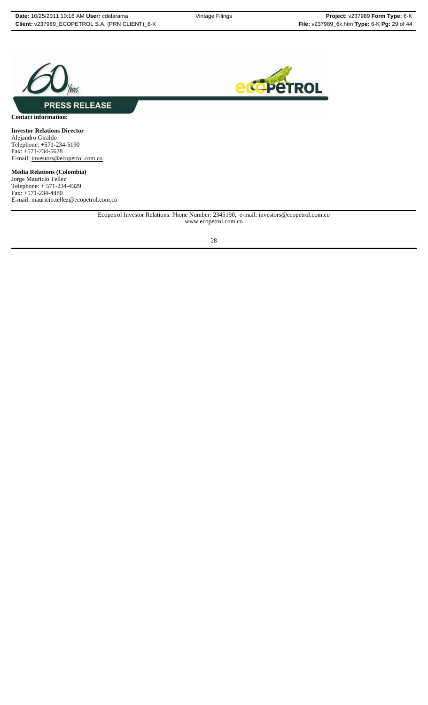



**Contact information:**

**Investor Relations Director** Alejandro Giraldo Telephone: +571-234-5190 Fax: +571-234-5628 E-mail: investors@ecopetrol.com.co

**Media Relations (Colombia)** Jorge Mauricio Tellez Telephone: + 571-234-4329 Fax: +571-234-4480 E-mail: mauricio.tellez@ecopetrol.com.co

> Ecopetrol Investor Relations. Phone Number: 2345190, e-mail: investors@ecopetrol.com.co www.ecopetrol.com.co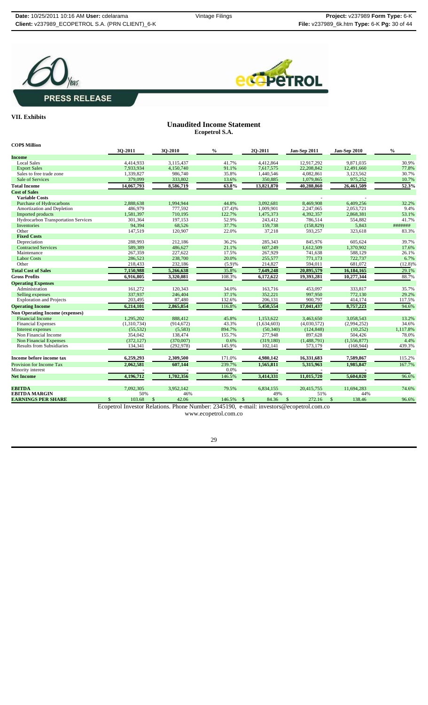



## **VII. Exhibits**

## **Unaudited Income Statement Ecopetrol S.A.**

| <b>COP\$ Million</b>                       |              |                        |         |               |                        |              |               |
|--------------------------------------------|--------------|------------------------|---------|---------------|------------------------|--------------|---------------|
|                                            | 30-2011      | 30-2010                | $\%$    | 20-2011       | Jan-Sep 2011           | Jan-Sep 2010 | $\frac{0}{0}$ |
| Income                                     |              |                        |         |               |                        |              |               |
| <b>Local Sales</b>                         | 4,414,933    | 3,115,437              | 41.7%   | 4,412,864     | 12.917.292             | 9.871.035    | 30.9%         |
| <b>Export Sales</b>                        | 7,933,934    | 4,150,740              | 91.1%   | 7,617,575     | 22,208,842             | 12,491,660   | 77.8%         |
| Sales to free trade zone                   | 1,339,827    | 986,740                | 35.8%   | 1,440,546     | 4,082,861              | 3,123,562    | 30.7%         |
| Sale of Services                           | 379,099      | 333,802                | 13.6%   | 350,885       | 1,079,865              | 975,252      | 10.7%         |
| <b>Total Income</b>                        | 14,067,793   | 8,586,719              | 63.8%   | 13,821,870    | 40,288,860             | 26,461,509   | 52.3%         |
| <b>Cost of Sales</b>                       |              |                        |         |               |                        |              |               |
| <b>Variable Costs</b>                      |              |                        |         |               |                        |              |               |
| <b>Purchase of Hydrocarbons</b>            | 2,888,638    | 1,994,944              | 44.8%   | 3,092,681     | 8,469,908              | 6,409,256    | 32.2%         |
| Amortization and Depletion                 | 486,979      | 777,592                | (37.4)% | 1,009,901     | 2,247,065              | 2,053,721    | 9.4%          |
| Imported products                          | 1,581,397    | 710,195                | 122.7%  | 1,475,373     | 4,392,357              | 2,868,381    | 53.1%         |
| <b>Hydrocarbon Transportation Services</b> | 301,364      | 197,153                | 52.9%   | 243,412       | 786,514                | 554,882      | 41.7%         |
| Inventories                                | 94,394       | 68,526                 | 37.7%   | 159,738       | (158, 829)             | 5,843        | #######       |
| Other                                      | 147,519      | 120,907                | 22.0%   | 37,218        | 593,257                | 323,618      | 83.3%         |
| <b>Fixed Costs</b>                         |              |                        |         |               |                        |              |               |
| Depreciation                               | 288,993      | 212,186                | 36.2%   | 285,343       | 845,976                | 605,624      | 39.7%         |
| <b>Contracted Services</b>                 | 589,389      | 486,627                | 21.1%   | 607,249       | 1,612,509              | 1,370,902    | 17.6%         |
| Maintenance                                | 267,359      | 227.622                | 17.5%   | 267.929       | 741.638                | 588.129      | 26.1%         |
| <b>Labor Costs</b>                         | 286,523      | 238,700                | 20.0%   | 255,577       | 771,173                | 722,737      | 6.7%          |
| Other                                      | 218,433      | 232,186                | (5.9)%  | 214,827       | 594,011                | 681,072      | $(12.8)\%$    |
| <b>Total Cost of Sales</b>                 | 7,150,988    | 5,266,638              | 35.8%   | 7,649,248     | 20,895,579             | 16,184,165   | 29.1%         |
| <b>Gross Profits</b>                       | 6,916,805    | 3,320,081              | 108.3%  | 6,172,622     | 19,393,281             | 10,277,344   | 88.7%         |
| <b>Operating Expenses</b>                  |              |                        |         |               |                        |              |               |
| Administration                             | 161,272      | 120,343                | 34.0%   | 163,716       | 453,097                | 333,817      | 35.7%         |
| Selling expenses                           | 337,937      | 246,404                | 37.1%   | 352,221       | 997,950                | 772,130      | 29.2%         |
| <b>Exploration and Projects</b>            | 203,495      | 87,480                 | 132.6%  | 206,131       | 900,797                | 414,174      | 117.5%        |
| <b>Operating Income</b>                    | 6,214,101    | 2,865,854              | 116.8%  | 5,450,554     | 17,041,437             | 8,757,223    | 94.6%         |
| <b>Non Operating Income (expenses)</b>     |              |                        |         |               |                        |              |               |
| <b>Financial Income</b>                    | 1,295,202    | 888,412                | 45.8%   | 1,153,622     | 3,463,650              | 3,058,543    | 13.2%         |
| <b>Financial Expenses</b>                  | (1,310,734)  | (914, 672)             | 43.3%   | (1,634,603)   | (4,030,572)            | (2,994,252)  | 34.6%         |
| Interest expenses                          | (55, 532)    | (5,583)                | 894.7%  | (50, 340)     | (124, 848)             | (10, 252)    | 1,117.8%      |
| Non Financial Income                       | 354,042      | 138,474                | 155.7%  | 277,948       | 897,628                | 504,426      | 78.0%         |
| <b>Non Financial Expenses</b>              | (372, 127)   | (370,007)              | 0.6%    | (319, 180)    | (1,488,791)            | (1,556,877)  | 4.4%          |
| <b>Results from Subsidiaries</b>           | 134,341      | (292, 978)             | 145.9%  | 102,141       | 573,179                | (168, 944)   | 439.3%        |
|                                            |              |                        |         |               |                        |              |               |
| Income before income tax                   | 6,259,293    | 2,309,500              | 171.0%  | 4,980,142     | 16,331,683             | 7,589,867    | 115.2%        |
| Provision for Income Tax                   | 2,062,581    | 607,144                | 239.7%  | 1,565,811     | 5,315,963              | 1,985,847    | 167.7%        |
| Minority interest                          |              |                        | 0.0%    |               |                        |              |               |
| <b>Net Income</b>                          | 4,196,712    | 1,702,356              | 146.5%  | 3,414,331     | 11,015,720             | 5,604,020    | 96.6%         |
|                                            |              |                        |         |               |                        |              |               |
| <b>EBITDA</b>                              | 7,092,305    | 3,952,142              | 79.5%   | 6,834,155     | 20,415,755             | 11,694,283   | 74.6%         |
| <b>EBITDA MARGIN</b>                       | 50%          | 46%                    |         | 49%           | 51%                    | 44%          |               |
| <b>EARNINGS PER SHARE</b>                  | \$<br>103.68 | 42.06<br><sup>\$</sup> | 146.5%  | 84.36<br>- \$ | 272.16<br>$\mathbb{S}$ | 138.46<br>\$ | 96.6%         |

Ecopetrol Investor Relations. Phone Number: 2345190, e-mail: investors@ecopetrol.com.co

www.ecopetrol.com.co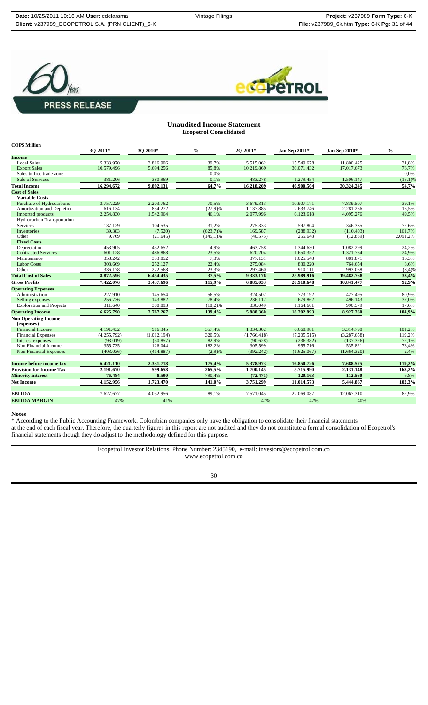



#### **Unaudited Income Statement Ecopetrol Consolidated**

| <b>COPS Million</b>             |             |             |               |             |               |               |               |
|---------------------------------|-------------|-------------|---------------|-------------|---------------|---------------|---------------|
|                                 | 30-2011*    | 3O-2010*    | $\frac{0}{0}$ | 20-2011*    | Jan-Sep 2011* | Jan-Sep 2010* | $\frac{0}{0}$ |
| <b>Income</b>                   |             |             |               |             |               |               |               |
| <b>Local Sales</b>              | 5.333.970   | 3.816.906   | 39,7%         | 5.515.062   | 15.549.678    | 11.800.425    | 31,8%         |
| <b>Export Sales</b>             | 10.579.496  | 5.694.256   | 85,8%         | 10.219.869  | 30.071.432    | 17.017.673    | 76,7%         |
| Sales to free trade zone        |             |             | 0.0%          |             |               |               | 0.0%          |
| Sale of Services                | 381.206     | 380.969     | 0,1%          | 483.278     | 1.279.454     | 1.506.147     | $(15,1)\%$    |
| <b>Total Income</b>             | 16.294.672  | 9.892.131   | 64,7%         | 16.218.209  | 46.900.564    | 30.324.245    | 54,7%         |
| <b>Cost of Sales</b>            |             |             |               |             |               |               |               |
| <b>Variable Costs</b>           |             |             |               |             |               |               |               |
| <b>Purchase of Hydrocarbons</b> | 3.757.229   | 2.203.762   | 70.5%         | 3.679.313   | 10.907.171    | 7.839.507     | 39,1%         |
| Amortization and Depletion      | 616.134     | 854.272     | $(27,9)$ %    | 1.137.885   | 2.633.746     | 2.281.256     | 15,5%         |
| Imported products               | 2.254.830   | 1.542.964   | 46,1%         | 2.077.996   | 6.123.618     | 4.095.276     | 49,5%         |
| Hydrocarbon Transportation      |             |             |               |             |               |               |               |
| <b>Services</b>                 | 137.129     | 104.535     | 31,2%         | 275.333     | 597.804       | 346.335       | 72,6%         |
| Inventories                     | 39.383      | (7.520)     | $(623,7)\%$   | 169.587     | (288.932)     | (110.403)     | 161,7%        |
| Other                           | 9.769       | (21.645)    | $(145,1)\%$   | (40.575)    | 255.648       | (12.839)      | 2.091,2%      |
| <b>Fixed Costs</b>              |             |             |               |             |               |               |               |
| Depreciation                    | 453.905     | 432.652     | 4,9%          | 463.758     | 1.344.630     | 1.082.299     | 24,2%         |
| <b>Contracted Services</b>      | 601.128     | 486.868     | 23,5%         | 620.204     | 1.650.352     | 1.321.754     | 24,9%         |
| Maintenance                     | 358.242     | 333.852     | 7,3%          | 377.131     | 1.025.548     | 881.871       | 16,3%         |
| <b>Labor Costs</b>              | 308.669     | 252.127     | 22,4%         | 275.084     | 830.220       | 764.654       | 8,6%          |
| Other                           | 336.178     | 272.568     | 23,3%         | 297.460     | 910.111       | 993.058       | $(8,4)$ %     |
| <b>Total Cost of Sales</b>      | 8.872.596   | 6.454.435   | 37,5%         | 9.333.176   | 25.989.916    | 19.482.768    | 33,4%         |
| <b>Gross Profits</b>            | 7.422.076   | 3.437.696   | 115,9%        | 6.885.033   | 20.910.648    | 10.841.477    | 92,9%         |
| <b>Operating Expenses</b>       |             |             |               |             |               |               |               |
| Administration                  | 227.910     | 145.654     | 56,5%         | 324.507     | 773.192       | 427.495       | 80,9%         |
| Selling expenses                | 256.736     | 143.882     | 78,4%         | 236.117     | 679.862       | 496.143       | 37,0%         |
| <b>Exploration and Projects</b> | 311.640     | 380.893     | $(18,2)\%$    | 336.049     | 1.164.601     | 990.579       | 17,6%         |
| <b>Operating Income</b>         | 6.625.790   | 2.767.267   | 139,4%        | 5.988.360   | 18.292.993    | 8.927.260     | 104,9%        |
| <b>Non Operating Income</b>     |             |             |               |             |               |               |               |
| (expenses)                      |             |             |               |             |               |               |               |
| <b>Financial Income</b>         | 4.191.432   | 916.345     | 357.4%        | 1.334.302   | 6.668.981     | 3.314.798     | 101.2%        |
| <b>Financial Expenses</b>       | (4.255.792) | (1.012.194) | 320,5%        | (1.766.418) | (7.205.515)   | (3.287.658)   | 119,2%        |
| Interest expenses               | (93.019)    | (50.857)    | 82,9%         | (90.628)    | (236.382)     | (137.326)     | 72,1%         |
| Non Financial Income            | 355.735     | 126.044     | 182,2%        | 305.599     | 955.716       | 535.821       | 78,4%         |
| <b>Non Financial Expenses</b>   | (403.036)   | (414.887)   | $(2,9)$ %     | (392.242)   | (1.625.067)   | (1.664.320)   | 2,4%          |
|                                 |             |             |               |             |               |               |               |
| Income before income tax        | 6.421.110   | 2.331.718   | 175,4%        | 5.378.973   | 16.850.726    | 7.688.575     | 119,2%        |
| <b>Provision for Income Tax</b> | 2.191.670   | 599.658     | 265,5%        | 1.700.145   | 5.715.990     | 2.131.148     | 168,2%        |
| <b>Minority interest</b>        | 76.484      | 8.590       | 790,4%        | (72.471)    | 120.163       | 112.560       | 6,8%          |
| <b>Net Income</b>               | 4.152.956   | 1.723.470   | 141,0%        | 3.751.299   | 11.014.573    | 5.444.867     | 102,3%        |
|                                 |             |             |               |             |               |               |               |
| <b>EBITDA</b>                   | 7.627.677   | 4.032.956   | 89.1%         | 7.571.045   | 22.069.087    | 12.067.310    | 82.9%         |
| <b>EBITDA MARGIN</b>            | 47%         | 41%         |               | 47%         | 47%           | 40%           |               |

#### **Notes**

\* According to the Public Accounting Framework, Colombian companies only have the obligation to consolidate their financial statements at the end of each fiscal year. Therefore, the quarterly figures in this report are not audited and they do not constitute a formal consolidation of Ecopetrol's financial statements though they do adjust to the methodology defined for this purpose.

> Ecopetrol Investor Relations. Phone Number: 2345190, e-mail: investors@ecopetrol.com.co www.ecopetrol.com.co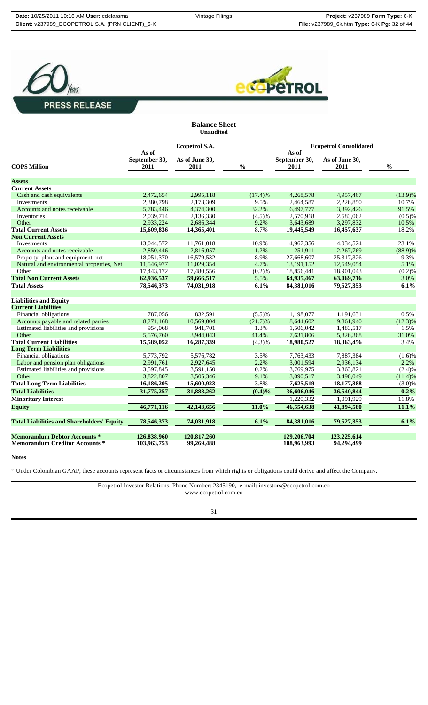



**Balance Sheet Unaudited**

|                                                   |                                | Ecopetrol S.A.         |               | <b>Ecopetrol Consolidated</b>  |                        |               |  |
|---------------------------------------------------|--------------------------------|------------------------|---------------|--------------------------------|------------------------|---------------|--|
| <b>COP\$ Million</b>                              | As of<br>September 30,<br>2011 | As of June 30,<br>2011 | $\frac{0}{0}$ | As of<br>September 30,<br>2011 | As of June 30,<br>2011 | $\frac{0}{0}$ |  |
| <b>Assets</b>                                     |                                |                        |               |                                |                        |               |  |
| <b>Current Assets</b>                             |                                |                        |               |                                |                        |               |  |
| Cash and cash equivalents                         | 2,472,654                      | 2,995,118              | (17.4)%       | 4,268,578                      | 4,957,467              | $(13.9)\%$    |  |
| <b>Investments</b>                                | 2,380,798                      | 2,173,309              | 9.5%          | 2,464,587                      | 2,226,850              | 10.7%         |  |
| Accounts and notes receivable                     | 5,783,446                      | 4,374,300              | 32.2%         | 6,497,777                      | 3,392,426              | 91.5%         |  |
| Inventories                                       | 2,039,714                      | 2,136,330              | (4.5)%        | 2,570,918                      | 2,583,062              | (0.5)%        |  |
| Other                                             | 2,933,224                      | 2,686,344              | 9.2%          | 3,643,689                      | 3,297,832              | 10.5%         |  |
| <b>Total Current Assets</b>                       | 15,609,836                     | 14,365,401             | 8.7%          | 19,445,549                     | 16,457,637             | 18.2%         |  |
| <b>Non Current Assets</b>                         |                                |                        |               |                                |                        |               |  |
| Investments                                       | 13,044,572                     | 11,761,018             | 10.9%         | 4,967,356                      | 4,034,524              | 23.1%         |  |
| Accounts and notes receivable                     | 2,850,446                      | 2,816,057              | 1.2%          | 251,911                        | 2,267,769              | $(88.9)\%$    |  |
| Property, plant and equipment, net                | 18,051,370                     | 16,579,532             | 8.9%          | 27,668,607                     | 25,317,326             | 9.3%          |  |
| Natural and environmental properties, Net         | 11,546,977                     | 11,029,354             | 4.7%          | 13,191,152                     | 12,549,054             | 5.1%          |  |
| Other                                             | 17,443,172                     | 17,480,556             | (0.2)%        | 18,856,441                     | 18,901,043             | (0.2)%        |  |
| <b>Total Non Current Assets</b>                   | 62,936,537                     | 59,666,517             | 5.5%          | 64,935,467                     | 63,069,716             | 3.0%          |  |
| <b>Total Assets</b>                               | 78,546,373                     | 74,031,918             | 6.1%          | 84,381,016                     | 79,527,353             | 6.1%          |  |
| <b>Liabilities and Equity</b>                     |                                |                        |               |                                |                        |               |  |
| <b>Current Liabilities</b>                        |                                |                        |               |                                |                        |               |  |
| Financial obligations                             | 787,056                        | 832,591                | (5.5)%        | 1,198,077                      | 1,191,631              | 0.5%          |  |
| Accounts payable and related parties              | 8,271,168                      | 10,569,004             | (21.7)%       | 8,644,602                      | 9,861,940              | $(12.3)\%$    |  |
| Estimated liabilities and provisions              | 954,068                        | 941.701                | 1.3%          | 1,506,042                      | 1,483,517              | 1.5%          |  |
| Other                                             | 5,576,760                      | 3,944,043              | 41.4%         | 7,631,806                      | 5,826,368              | 31.0%         |  |
| <b>Total Current Liabilities</b>                  | 15,589,052                     | 16,287,339             | (4.3)%        | 18,980,527                     | 18,363,456             | 3.4%          |  |
| <b>Long Term Liabilities</b>                      |                                |                        |               |                                |                        |               |  |
| Financial obligations                             | 5,773,792                      | 5,576,782              | 3.5%          | 7,763,433                      | 7,887,384              | (1.6)%        |  |
| Labor and pension plan obligations                | 2,991,761                      | 2,927,645              | 2.2%          | 3,001,594                      | 2,936,134              | 2.2%          |  |
| Estimated liabilities and provisions              | 3,597,845                      | 3,591,150              | 0.2%          | 3,769,975                      | 3,863,821              | (2.4)%        |  |
| Other                                             | 3,822,807                      | 3,505,346              | 9.1%          | 3,090,517                      | 3,490,049              | (11.4)%       |  |
| <b>Total Long Term Liabilities</b>                | 16,186,205                     | 15,600,923             | 3.8%          | 17,625,519                     | 18,177,388             | $(3.0)\%$     |  |
| <b>Total Liabilities</b>                          | 31,775,257                     | 31,888,262             | $(0.4)\%$     | 36,606,046                     | 36,540,844             | 0.2%          |  |
| <b>Minoritary Interest</b>                        |                                |                        |               | 1,220,332                      | 1,091,929              | 11.8%         |  |
| <b>Equity</b>                                     | 46,771,116                     | 42,143,656             | 11.0%         | 46,554,638                     | 41,894,580             | 11.1%         |  |
| <b>Total Liabilities and Shareholders' Equity</b> | 78,546,373                     | 74,031,918             | 6.1%          | 84,381,016                     | 79,527,353             | 6.1%          |  |
| <b>Memorandum Debtor Accounts *</b>               | 126,838,960                    | 120,817,260            |               | 129,206,704                    | 123,225,614            |               |  |
| <b>Memorandum Creditor Accounts *</b>             | 103,963,753                    | 99,269,488             |               | 108,963,993                    | 94,294,499             |               |  |
|                                                   |                                |                        |               |                                |                        |               |  |

**Notes**

\* Under Colombian GAAP, these accounts represent facts or circumstances from which rights or obligations could derive and affect the Company.

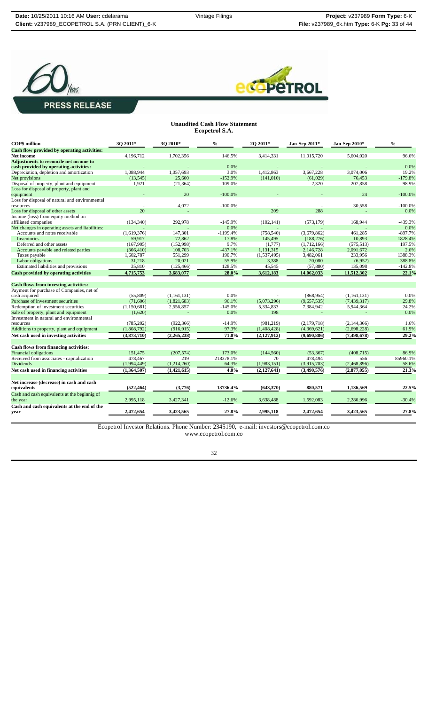



#### **Unaudited Cash Flow Statement Ecopetrol S.A.**

| Cash flow provided by operating activities:<br>4,196,712<br>1,702,356<br>146.5%<br>3,414,331<br>11,015,720<br><b>Net income</b><br>Adjustments to reconcile net income to<br>cash provided by operating activities:<br>0.0%<br>1,088,944<br>1,057,693<br>3.0%<br>1,412,863<br>3,667,228<br>Depreciation, depletion and amortization<br>Net provisions<br>25,600<br>$-152.9%$<br>(13, 545)<br>(141,010)<br>(61,029) | 5,604,020<br>96.6%<br>0.0%<br>3,074,006<br>19.2%<br>76,453<br>$-179.8%$<br>207,858<br>$-98.9%$<br>24<br>$-100.0%$<br>30,558<br>$-100.0%$ |
|--------------------------------------------------------------------------------------------------------------------------------------------------------------------------------------------------------------------------------------------------------------------------------------------------------------------------------------------------------------------------------------------------------------------|------------------------------------------------------------------------------------------------------------------------------------------|
|                                                                                                                                                                                                                                                                                                                                                                                                                    |                                                                                                                                          |
|                                                                                                                                                                                                                                                                                                                                                                                                                    |                                                                                                                                          |
|                                                                                                                                                                                                                                                                                                                                                                                                                    |                                                                                                                                          |
|                                                                                                                                                                                                                                                                                                                                                                                                                    |                                                                                                                                          |
|                                                                                                                                                                                                                                                                                                                                                                                                                    |                                                                                                                                          |
|                                                                                                                                                                                                                                                                                                                                                                                                                    |                                                                                                                                          |
| Disposal of property, plant and equipment<br>1,921<br>109.0%<br>2,320<br>(21, 364)                                                                                                                                                                                                                                                                                                                                 |                                                                                                                                          |
| Loss for disposal of property, plant and                                                                                                                                                                                                                                                                                                                                                                           |                                                                                                                                          |
| 20<br>equipment<br>$-100.0\%$                                                                                                                                                                                                                                                                                                                                                                                      |                                                                                                                                          |
| Loss for disposal of natural and environmental                                                                                                                                                                                                                                                                                                                                                                     |                                                                                                                                          |
| $-100.0\%$<br>4,072<br>resources                                                                                                                                                                                                                                                                                                                                                                                   |                                                                                                                                          |
| 20<br>209<br>288<br>Loss for disposal of other assets                                                                                                                                                                                                                                                                                                                                                              | 0.0%                                                                                                                                     |
| Income (loss) from equity method on                                                                                                                                                                                                                                                                                                                                                                                |                                                                                                                                          |
| affiliated companies<br>$-145.9%$<br>(573, 179)<br>(134, 340)<br>292,978<br>(102, 141)                                                                                                                                                                                                                                                                                                                             | 168,944<br>$-439.3%$                                                                                                                     |
| Net changes in operating assets and liabilities:<br>0.0%                                                                                                                                                                                                                                                                                                                                                           | 0.0%                                                                                                                                     |
| Accounts and notes receivable<br>(1,619,376)<br>147,301<br>$-1199.4%$<br>(758, 540)<br>(3,679,862)                                                                                                                                                                                                                                                                                                                 | $-897.7%$<br>461,285                                                                                                                     |
| Inventories<br>59,917<br>72,862<br>$-17.8%$<br>145,495<br>(188, 276)                                                                                                                                                                                                                                                                                                                                               | 10,893<br>$-1828.4%$                                                                                                                     |
| 9.7%<br>Deferred and other assets<br>(167, 905)<br>(152,998)<br>(1,777)<br>(1,712,166)                                                                                                                                                                                                                                                                                                                             | 197.5%<br>(575, 513)                                                                                                                     |
| Accounts payable and related parties<br>108,703<br>$-437.1%$<br>1,131,315<br>2,146,728<br>(366, 410)                                                                                                                                                                                                                                                                                                               | 2,091,672<br>2.6%                                                                                                                        |
| Taxes payable<br>1,602,787<br>551,299<br>190.7%<br>3,482,061<br>(1,537,495)                                                                                                                                                                                                                                                                                                                                        | 233,956<br>1388.3%                                                                                                                       |
| Labor obligations<br>31,218<br>20,021<br>55.9%<br>3,388<br>20,080                                                                                                                                                                                                                                                                                                                                                  | (6,952)<br>388.8%                                                                                                                        |
| Estimated liabilities and provisions<br>35,810<br>128.5%<br>45,545<br>(57, 880)<br>(125, 466)                                                                                                                                                                                                                                                                                                                      | $-142.8%$<br>135,098                                                                                                                     |
| 28.0%<br>Cash provided by operating activities<br>4,715,753<br>3,683,077<br>3,612,183<br>14,062,033                                                                                                                                                                                                                                                                                                                | 22.1%<br>11,512,302                                                                                                                      |
| <b>Cash flows from investing activities:</b>                                                                                                                                                                                                                                                                                                                                                                       |                                                                                                                                          |
| Payment for purchase of Companies, net of                                                                                                                                                                                                                                                                                                                                                                          |                                                                                                                                          |
| cash acquired<br>(55,809)<br>(1,161,131)<br>0.0%<br>(868.954)                                                                                                                                                                                                                                                                                                                                                      | 0.0%<br>(1,161,131)                                                                                                                      |
| Purchase of investment securities<br>(1,821,683)<br>(9,657,535)<br>(71.606)<br>96.1%<br>(5,073,296)                                                                                                                                                                                                                                                                                                                | (7,439,317)<br>29.8%                                                                                                                     |
| Redemption of investment securities<br>$-145.0%$<br>5,334,833<br>7,384,942<br>(1,150,681)<br>2,556,857                                                                                                                                                                                                                                                                                                             | 5,944,364<br>24.2%                                                                                                                       |
| Sale of property, plant and equipment<br>0.0%<br>198<br>(1,620)<br>L.                                                                                                                                                                                                                                                                                                                                              | 0.0%                                                                                                                                     |
| Investment in natural and environmental                                                                                                                                                                                                                                                                                                                                                                            |                                                                                                                                          |
| (922, 366)<br>$-14.9%$<br>(981.219)<br>(785, 202)<br>(2,179,718)<br>resources                                                                                                                                                                                                                                                                                                                                      | 1.6%<br>(2,144,366)                                                                                                                      |
| 97.3%<br>Additions to property, plant and equipment<br>(1,808,792)<br>(916, 915)<br>(1,408,428)<br>(4,369,621)                                                                                                                                                                                                                                                                                                     | 61.9%<br>(2,698,228)                                                                                                                     |
| (3,873,710)<br>71.0%<br>Net cash used in investing activities<br>(2, 265, 238)<br>(2,127,912)<br>(9,690,886)                                                                                                                                                                                                                                                                                                       | 29.2%<br>(7, 498, 678)                                                                                                                   |
|                                                                                                                                                                                                                                                                                                                                                                                                                    |                                                                                                                                          |
| Cash flows from financing activities:                                                                                                                                                                                                                                                                                                                                                                              |                                                                                                                                          |
| <b>Financial obligations</b><br>(207, 574)<br>173.0%<br>(144, 560)<br>151,475<br>(53, 367)                                                                                                                                                                                                                                                                                                                         | (408, 715)<br>86.9%                                                                                                                      |
| Received from associates - capitalization<br>219<br>218378.1%<br>70<br>478,494<br>478,467                                                                                                                                                                                                                                                                                                                          | 556<br>85960.1%                                                                                                                          |
| <b>Dividends</b><br>64.3%<br>(3,915,703)<br>(1,994,449)<br>(1,214,260)<br>(1,983,151)                                                                                                                                                                                                                                                                                                                              | 58.6%<br>(2,468,896)                                                                                                                     |
| Net cash used in financing activities<br>4.0%<br>(1,364,507)<br>(1,421,615)<br>(2,127,641)<br>(3,490,576)                                                                                                                                                                                                                                                                                                          | 21.3%<br>(2,877,055)                                                                                                                     |
|                                                                                                                                                                                                                                                                                                                                                                                                                    |                                                                                                                                          |
| Net increase (decrease) in cash and cash<br>880,571<br>equivalents<br>(522, 464)<br>(3,776)<br>13736.4%<br>(643, 370)                                                                                                                                                                                                                                                                                              | $-22.5%$<br>1,136,569                                                                                                                    |
| Cash and cash equivalents at the beginnig of                                                                                                                                                                                                                                                                                                                                                                       |                                                                                                                                          |
| 2,995,118<br>3,427,341<br>$-12.6%$<br>the year<br>3,638,488<br>1,592,083                                                                                                                                                                                                                                                                                                                                           | $-30.4%$<br>2,286,996                                                                                                                    |
| Cash and cash equivalents at the end of the<br>2,472,654<br>3,423,565<br>$-27.8%$<br>2,995,118<br>2,472,654<br>year                                                                                                                                                                                                                                                                                                | 3,423,565<br>$-27.8%$                                                                                                                    |

Ecopetrol Investor Relations. Phone Number: 2345190, e-mail: investors@ecopetrol.com.co

www.ecopetrol.com.co

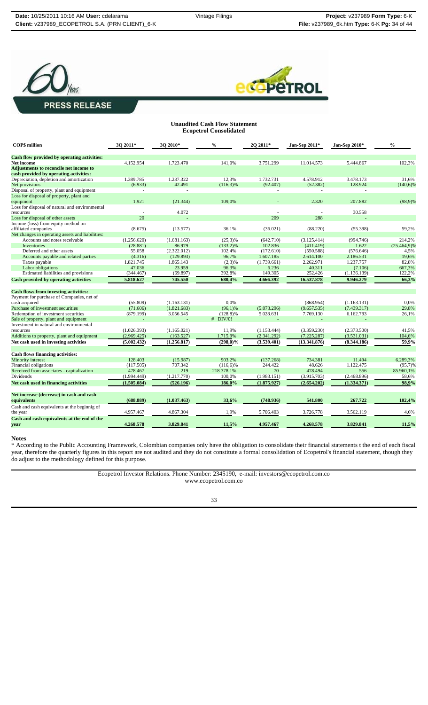



### **Unaudited Cash Flow Statement Ecopetrol Consolidated**

| <b>COPS</b> million                              | 3Q 2011*    | 3Q 2010*       | $\frac{0}{0}$ | 2Q 2011*    | Jan-Sep 2011* | Jan-Sep 2010* | $\frac{0}{0}$   |
|--------------------------------------------------|-------------|----------------|---------------|-------------|---------------|---------------|-----------------|
| Cash flow provided by operating activities:      |             |                |               |             |               |               |                 |
| Net income                                       | 4.152.954   | 1.723.470      | 141,0%        | 3.751.299   | 11.014.573    | 5.444.867     | 102,3%          |
| Adjustments to reconcile net income to           |             |                |               |             |               |               |                 |
| cash provided by operating activities:           |             |                |               |             |               |               |                 |
| Depreciation, depletion and amortization         | 1.389.785   | 1.237.322      | 12,3%         | 1.732.731   | 4.578.912     | 3.478.173     | 31,6%           |
| Net provisions                                   | (6.933)     | 42.491         | $(116,3)\%$   | (92.407)    | (52.382)      | 128.924       | $(140,6)\%$     |
| Disposal of property, plant and equipment        | $\sim$      | $\overline{a}$ |               |             | $\sim$        | $\sim$        |                 |
| Loss for disposal of property, plant and         |             |                |               |             |               |               |                 |
| equipment                                        | 1.921       | (21.344)       | 109,0%        |             | 2.320         | 207.882       | $(98.9)\%$      |
| Loss for disposal of natural and environmental   |             |                |               |             |               |               |                 |
| resources                                        | ÷,          | 4.072          |               |             |               | 30.558        |                 |
| Loss for disposal of other assets                | 20          |                |               | 209         | 288           |               |                 |
| Income (loss) from equity method on              |             |                |               |             |               |               |                 |
| affiliated companies                             | (8.675)     | (13.577)       | 36,1%         | (36.021)    | (88.220)      | (55.398)      | 59,2%           |
| Net changes in operating assets and liabilities: |             |                |               |             |               |               |                 |
| Accounts and notes receivable                    | (1.256.620) | (1.681.163)    | $(25,3)\%$    | (642.710)   | (3.125.414)   | (994.746)     | 214,2%          |
| <b>Inventories</b>                               | (28.881)    | 86.979         | $(133,2)\%$   | 102.836     | (411.419)     | 1.622         | $(25.464, 9)\%$ |
| Deferred and other assets                        | 55.058      | (2.322.012)    | 102,4%        | (172.610)   | (550.588)     | (576.646)     | 4,5%            |
| Accounts payable and related parties             | (4.316)     | (129.893)      | 96,7%         | 1.607.185   | 2.614.100     | 2.186.531     | 19,6%           |
| Taxes payable                                    | 1.821.745   | 1.865.143      | $(2,3)$ %     | (1.739.661) | 2.262.971     | 1.237.757     | 82,8%           |
| Labor obligations                                | 47.036      | 23.959         | 96,3%         | 6.236       | 40.311        | (7.106)       | 667,3%          |
| Estimated liabilities and provisions             | (344.467)   | (69.897)       | 392,8%        | 149.305     | 252.426       | (1.136.139)   | 122,2%          |
| <b>Cash provided by operating activities</b>     | 5.818.627   | 745.550        | 680,4%        | 4.666.392   | 16.537.878    | 9.946.279     | 66,3%           |
| <b>Cash flows from investing activities:</b>     |             |                |               |             |               |               |                 |
| Payment for purchase of Companies, net of        |             |                |               |             |               |               |                 |
| cash acquired                                    | (55.809)    | (1.163.131)    | 0,0%          |             | (868.954)     | (1.163.131)   | 0,0%            |
| Purchase of investment securities                | (71.606)    | (1.821.683)    | $(96,1)\%$    | (5.073.296) | (9.657.535)   | (7.439.317)   | 29,8%           |
| Redemption of investment securities              | (879.199)   | 3.056.545      | $(128,8)\%$   | 5.028.631   | 7.769.130     | 6.162.793     | 26,1%           |
| Sale of property, plant and equipment            |             |                | $#$ DIV/0!    |             |               |               |                 |
| Investment in natural and environmental          |             |                |               |             |               |               |                 |
| resources                                        | (1.026.393) | (1.165.021)    | 11.9%         | (1.153.444) | (3.359.230)   | (2.373.500)   | 41,5%           |
| Additions to property, plant and equipment       | (2.969.425) | (163.527)      | 1.715,9%      | (2.341.292) | (7.225.287)   | (3.531.031)   | 104,6%          |
| Net cash used in investing activities            | (5.002.432) | (1.256.817)    | $(298,0)\%$   | (3.539.401) | (13.341.876)  | (8.344.186)   | 59,9%           |
| <b>Cash flows financing activities:</b>          |             |                |               |             |               |               |                 |
| Minority interest                                | 128.403     | (15.987)       | 903,2%        | (137.268)   | 734.381       | 11.494        | 6.289,3%        |
| Financial obligations                            | (117.505)   | 707.342        | $(116,6)\%$   | 244.422     | 48.626        | 1.122.475     | $(95,7)$ %      |
| Received from associates - capitalization        | 478.467     | 219            | 218.378,1%    | 70          | 478.494       | 556           | 85.960,1%       |
| Dividends                                        | (1.994.449) | (1.217.770)    | 100,0%        | (1.983.151) | (3.915.703)   | (2.468.896)   | 58,6%           |
| Net cash used in financing activities            | (1.505.084) | (526.196)      | 186,0%        | (1.875.927) | (2.654.202)   | (1.334.371)   | 98,9%           |
|                                                  |             |                |               |             |               |               |                 |
| Net increase (decrease) in cash and cash         |             |                |               |             |               |               |                 |
| equivalents                                      | (688.889)   | (1.037.463)    | 33,6%         | (748.936)   | 541.800       | 267.722       | 102,4%          |
| Cash and cash equivalents at the beginnig of     |             |                |               |             |               |               |                 |
| the year                                         | 4.957.467   | 4.867.304      | 1,9%          | 5.706.403   | 3.726.778     | 3.562.119     | 4,6%            |
| Cash and cash equivalents at the end of the      |             |                |               |             |               |               |                 |
| vear                                             | 4.268.578   | 3.829.841      | 11,5%         | 4.957.467   | 4.268.578     | 3.829.841     | 11,5%           |

#### **Notes**

\* According to the Public Accounting Framework, Colombian companies only have the obligation to consolidate their financial statements t the end of each fiscal year, therefore the quarterly figures in this report are not audited and they do not constitute a formal consolidation of Ecopetrol's financial statement, though they year, therefore the quarterly figures in this report are not audited and they do not constitute a formal consolidation of Ecopetrol's financial statement, though they do adjust to the methodology defined for this purpose.

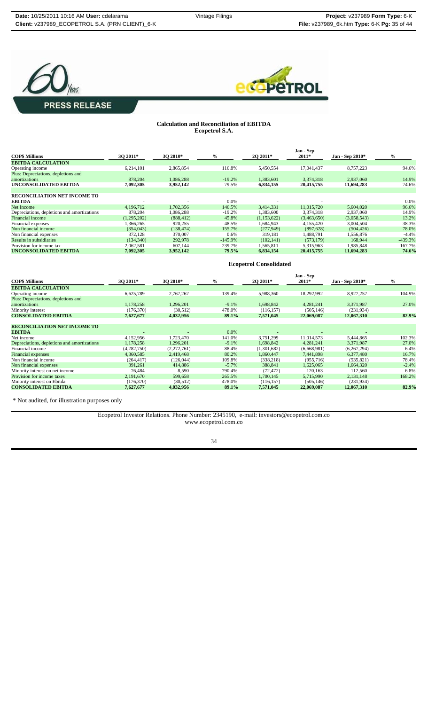



#### **Calculation and Reconciliation of EBITDA Ecopetrol S.A.**

|                                             |             |            |               |             | Jan - Sep   |                 |               |
|---------------------------------------------|-------------|------------|---------------|-------------|-------------|-----------------|---------------|
| <b>COPS Millions</b>                        | 30 2011*    | 30 2010*   | $\frac{6}{6}$ | 2Q 2011*    | $2011*$     | Jan - Sep 2010* | $\frac{0}{0}$ |
| <b>EBITDA CALCULATION</b>                   |             |            |               |             |             |                 |               |
| Operating income                            | 6,214,101   | 2,865,854  | 116.8%        | 5,450,554   | 17,041,437  | 8,757,223       | 94.6%         |
| Plus: Depreciations, depletions and         |             |            |               |             |             |                 |               |
| amortizations                               | 878,204     | 1.086.288  | $-19.2%$      | 1,383,601   | 3,374,318   | 2.937,060       | 14.9%         |
| UNCONSOLIDATED EBITDA                       | 7,092,305   | 3,952,142  | 79.5%         | 6,834,155   | 20,415,755  | 11,694,283      | 74.6%         |
|                                             |             |            |               |             |             |                 |               |
| <b>RECONCILIATION NET INCOME TO</b>         |             |            |               |             |             |                 |               |
| <b>EBITDA</b>                               |             |            | 0.0%          |             |             |                 | 0.0%          |
| Net Income                                  | 4.196.712   | 1.702.356  | 146.5%        | 3.414.331   | 11.015.720  | 5.604.020       | 96.6%         |
| Depreciations, depletions and amortizations | 878,204     | 1.086.288  | $-19.2%$      | 1,383,600   | 3.374.318   | 2.937.060       | 14.9%         |
| Financial income                            | (1,295,202) | (888, 412) | 45.8%         | (1,153,622) | (3,463,650) | (3,058,543)     | 13.2%         |
| Financial expenses                          | 1.366.265   | 920,255    | 48.5%         | 1,684,943   | 4,155,420   | 3,004,504       | 38.3%         |
| Non financial income                        | (354.043)   | (138, 474) | 155.7%        | (277, 949)  | (897, 628)  | (504, 426)      | 78.0%         |
| Non financial expenses                      | 372,128     | 370,007    | 0.6%          | 319,181     | 1,488,791   | 1,556,876       | $-4.4%$       |
| Results in subsidiaries                     | (134, 340)  | 292,978    | $-145.9%$     | (102, 141)  | (573, 179)  | 168,944         | $-439.3%$     |
| Provision for income tax                    | 2,062,581   | 607,144    | 239.7%        | 1,565,811   | 5,315,963   | 1,985,848       | 167.7%        |
| UNCONSOLIDATED EBITDA                       | 7.092.305   | 3,952,142  | 79.5%         | 6.834.154   | 20,415,755  | 11,694,283      | 74.6%         |

|                                                      |             |             |          | <b>Ecopetrol Consolidated</b> |                      |                 |         |
|------------------------------------------------------|-------------|-------------|----------|-------------------------------|----------------------|-----------------|---------|
| <b>COP\$ Millions</b>                                | 3Q 2011*    | 3Q 2010*    | $\%$     | 2Q 2011*                      | Jan - Sep<br>$2011*$ | Jan - Sep 2010* | $\%$    |
| <b>EBITDA CALCULATION</b>                            |             |             |          |                               |                      |                 |         |
| Operating income                                     | 6,625,789   | 2,767,267   | 139.4%   | 5,988,360                     | 18,292,992           | 8,927,257       | 104.9%  |
| Plus: Depreciations, depletions and<br>amortizations | 1,178,258   | 1.296.201   | $-9.1\%$ | 1.698.842                     | 4.281.241            | 3.371.987       | 27.0%   |
| Minority interest                                    | (176, 370)  | (30,512)    | 478.0%   | (116, 157)                    | (505, 146)           | (231, 934)      |         |
| <b>CONSOLIDATED EBITDA</b>                           | 7,627,677   | 4,032,956   | 89.1%    | 7,571,045                     | 22,069,087           | 12,067,310      | 82.9%   |
| <b>RECONCILIATION NET INCOME TO</b><br><b>EBITDA</b> |             |             | $0.0\%$  |                               |                      |                 |         |
| Net income                                           | 4,152,956   | 1,723,470   | 141.0%   | 3,751,299                     | 11,014,573           | 5,444,865       | 102.3%  |
| Depreciations, depletions and amortizations          | 1,178,258   | 1.296.201   | $-9.1%$  | 1.698.842                     | 4.281.241            | 3.371.987       | 27.0%   |
| Financial income                                     | (4,282,750) | (2,272,761) | 88.4%    | (1,301,682)                   | (6,668,981)          | (6,267,294)     | 6.4%    |
| <b>Financial expenses</b>                            | 4,360,585   | 2,419,468   | 80.2%    | 1,860,447                     | 7,441,898            | 6,377,480       | 16.7%   |
| Non financial income                                 | (264, 417)  | (126, 044)  | 109.8%   | (338, 218)                    | (955, 716)           | (535, 821)      | 78.4%   |
| Non financial expenses                               | 391,261     | 414,886     | $-5.7\%$ | 388,841                       | 1,625,065            | 1.664.320       | $-2.4%$ |
| Minority interest on net income                      | 76,484      | 8,590       | 790.4%   | (72, 472)                     | 120,163              | 112,560         | 6.8%    |
| Provision for income taxes                           | 2,191,670   | 599.658     | 265.5%   | 1.700.145                     | 5,715,990            | 2,131,148       | 168.2%  |
| Minority interest on Ebitda                          | (176, 370)  | (30,512)    | 478.0%   | (116, 157)                    | (505, 146)           | (231, 934)      |         |
| <b>CONSOLIDATED EBITDA</b>                           | 7,627,677   | 4,032,956   | 89.1%    | 7,571,045                     | 22,069,087           | 12,067,310      | 82.9%   |

\* Not audited, for illustration purposes only

Ecopetrol Investor Relations. Phone Number: 2345190, e-mail: investors@ecopetrol.com.co www.ecopetrol.com.co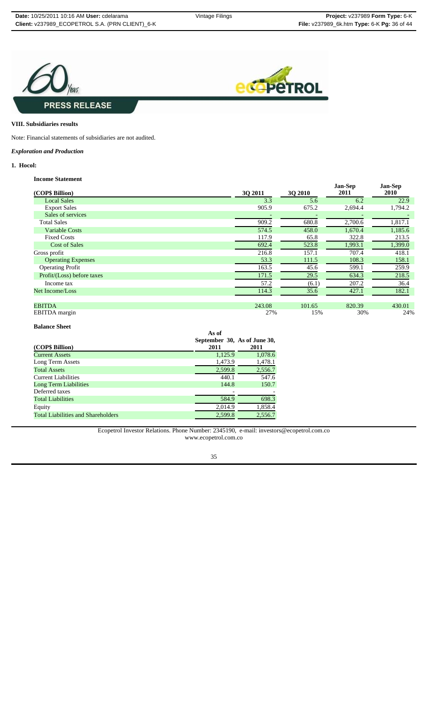



#### **VIII. Subsidiaries results**

Note: Financial statements of subsidiaries are not audited.

## *Exploration and Production*

## **1. Hocol:**

## **Income Statement**

|                            |                |                | <b>Jan-Sep</b> | <b>Jan-Sep</b> |
|----------------------------|----------------|----------------|----------------|----------------|
| (COP\$ Billion)            | <b>30 2011</b> | <b>3Q 2010</b> | 2011           | <b>2010</b>    |
| <b>Local Sales</b>         | 3.3            | 5.6            | 6.2            | 22.9           |
| <b>Export Sales</b>        | 905.9          | 675.2          | 2,694.4        | 1,794.2        |
| Sales of services          |                |                |                |                |
| <b>Total Sales</b>         | 909.2          | 680.8          | 2,700.6        | 1,817.1        |
| <b>Variable Costs</b>      | 574.5          | 458.0          | 1,670.4        | 1,185.6        |
| <b>Fixed Costs</b>         | 117.9          | 65.8           | 322.8          | 213.5          |
| <b>Cost of Sales</b>       | 692.4          | 523.8          | 1,993.1        | 1,399.0        |
| Gross profit               | 216.8          | 157.1          | 707.4          | 418.1          |
| <b>Operating Expenses</b>  | 53.3           | 111.5          | 108.3          | 158.1          |
| <b>Operating Profit</b>    | 163.5          | 45.6           | 599.1          | 259.9          |
| Profit/(Loss) before taxes | 171.5          | 29.5           | 634.3          | 218.5          |
| Income tax                 | 57.2           | (6.1)          | 207.2          | 36.4           |
| Net Income/Loss            | 114.3          | 35.6           | 427.1          | 182.1          |
|                            |                |                |                |                |
| <b>EBITDA</b>              | 243.08         | 101.65         | 820.39         | 430.01         |
| <b>EBITDA</b> margin       | 27%            | 15%            | 30%            | 24%            |

## **Balance Sheet**

| (COP\$ Billion)                           | As of<br>September 30, As of June 30,<br>2011 | 2011    |
|-------------------------------------------|-----------------------------------------------|---------|
| <b>Current Assets</b>                     | 1,125.9                                       | 1,078.6 |
| Long Term Assets                          | 1,473.9                                       | 1,478.1 |
| <b>Total Assets</b>                       | 2,599.8                                       | 2,556.7 |
| <b>Current Liabilities</b>                | 440.1                                         | 547.6   |
| Long Term Liabilities                     | 144.8                                         | 150.7   |
| Deferred taxes                            |                                               |         |
| <b>Total Liabilities</b>                  | 584.9                                         | 698.3   |
| Equity                                    | 2.014.9                                       | 1,858.4 |
| <b>Total Liabilities and Shareholders</b> | 2.599.8                                       | 2,556.7 |

Ecopetrol Investor Relations. Phone Number: 2345190, e-mail: investors@ecopetrol.com.co www.ecopetrol.com.co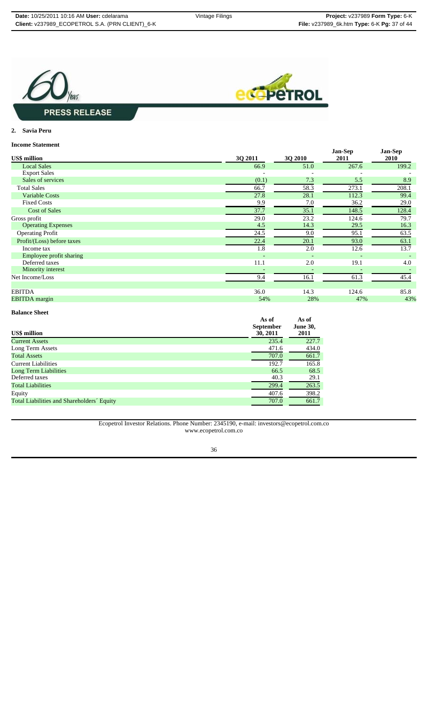



## **2. Savia Peru**

### **Income Statement**

|                            |         |         | <b>Jan-Sep</b> | <b>Jan-Sep</b> |
|----------------------------|---------|---------|----------------|----------------|
| <b>US\$</b> million        | 3Q 2011 | 3Q 2010 | 2011           | 2010           |
| <b>Local Sales</b>         | 66.9    | 51.0    | 267.6          | 199.2          |
| <b>Export Sales</b>        |         |         |                |                |
| Sales of services          | (0.1)   | 7.3     | 5.5            | 8.9            |
| <b>Total Sales</b>         | 66.7    | 58.3    | 273.1          | 208.1          |
| <b>Variable Costs</b>      | 27.8    | 28.1    | 112.3          | 99.4           |
| <b>Fixed Costs</b>         | 9.9     | 7.0     | 36.2           | 29.0           |
| <b>Cost of Sales</b>       | 37.7    | 35.1    | 148.5          | 128.4          |
| Gross profit               | 29.0    | 23.2    | 124.6          | 79.7           |
| <b>Operating Expenses</b>  | 4.5     | 14.3    | 29.5           | 16.3           |
| <b>Operating Profit</b>    | 24.5    | 9.0     | 95.1           | 63.5           |
| Profit/(Loss) before taxes | 22.4    | 20.1    | 93.0           | 63.1           |
| Income tax                 | 1.8     | 2.0     | 12.6           | 13.7           |
| Employee profit sharing    |         |         |                |                |
| Deferred taxes             | 11.1    | 2.0     | 19.1           | 4.0            |
| Minority interest          |         |         |                |                |
| Net Income/Loss            | 9.4     | 16.1    | 61.3           | 45.4           |
|                            |         |         |                |                |
| <b>EBITDA</b>              | 36.0    | 14.3    | 124.6          | 85.8           |
| <b>EBITDA</b> margin       | 54%     | 28%     | 47%            | 43%            |

## **Balance Sheet**

| <b>US\$</b> million                        | As of<br><b>September</b><br>30, 2011 | As of<br><b>June 30,</b><br>2011 |
|--------------------------------------------|---------------------------------------|----------------------------------|
| <b>Current Assets</b>                      | 235.4                                 | 227.7                            |
| Long Term Assets                           | 471.6                                 | 434.0                            |
| <b>Total Assets</b>                        | 707.0                                 | 661.7                            |
| <b>Current Liabilities</b>                 | 192.7                                 | 165.8                            |
| Long Term Liabilities                      | 66.5                                  | 68.5                             |
| Deferred taxes                             | 40.3                                  | 29.1                             |
| <b>Total Liabilities</b>                   | 299.4                                 | 263.5                            |
| Equity                                     | 407.6                                 | 398.2                            |
| Total Liabilities and Shareholders' Equity | 707.0                                 | 661.7                            |

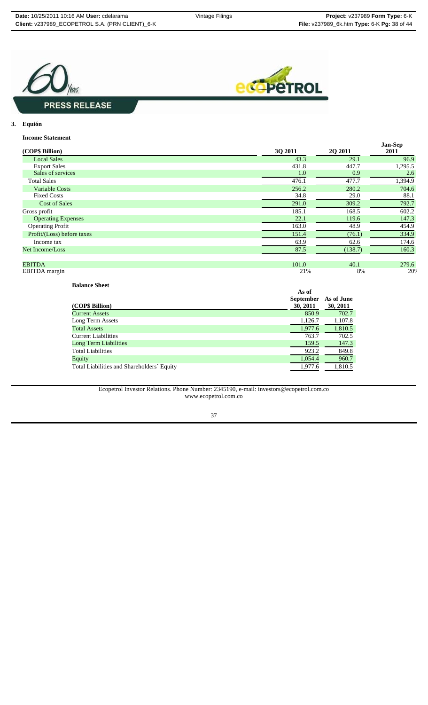



**3. Equión**

## **Income Statement**

| mconne Duauennene          |         |                | <b>Jan-Sep</b> |
|----------------------------|---------|----------------|----------------|
| (COP\$ Billion)            | 3Q 2011 | <b>20 2011</b> | 2011           |
| <b>Local Sales</b>         | 43.3    | 29.1           | 96.9           |
| <b>Export Sales</b>        | 431.8   | 447.7          | 1,295.5        |
| Sales of services          | 1.0     | 0.9            | 2.6            |
| <b>Total Sales</b>         | 476.1   | 477.7          | 1,394.9        |
| <b>Variable Costs</b>      | 256.2   | 280.2          | 704.6          |
| <b>Fixed Costs</b>         | 34.8    | 29.0           | 88.1           |
| <b>Cost of Sales</b>       | 291.0   | 309.2          | 792.7          |
| Gross profit               | 185.1   | 168.5          | 602.2          |
| <b>Operating Expenses</b>  | 22.1    | 119.6          | 147.3          |
| <b>Operating Profit</b>    | 163.0   | 48.9           | 454.9          |
| Profit/(Loss) before taxes | 151.4   | (76.1)         | 334.9          |
| Income tax                 | 63.9    | 62.6           | 174.6          |
| Net Income/Loss            | 87.5    | (138.7)        | 160.3          |
|                            |         |                |                |
| <b>EBITDA</b>              | 101.0   | 40.1           | 279.6          |
| EBITDA margin              | 21%     | 8%             | 20%            |

**Balance Sheet**

| (COP\$ Billion)                            | As of<br><b>September</b><br>30, 2011 | As of June<br>30, 2011 |
|--------------------------------------------|---------------------------------------|------------------------|
| Current Assets                             | 850.9                                 | 702.7                  |
| Long Term Assets                           | 1,126.7                               | 1,107.8                |
| <b>Total Assets</b>                        | 1,977.6                               | 1,810.5                |
| Current Liabilities                        | 763.7                                 | 702.5                  |
| Long Term Liabilities                      | 159.5                                 | 147.3                  |
| Total Liabilities                          | 923.2                                 | 849.8                  |
| Equity                                     | 1,054.4                               | 960.7                  |
| Total Liabilities and Shareholders' Equity | 1,977.6                               | 1,810.5                |

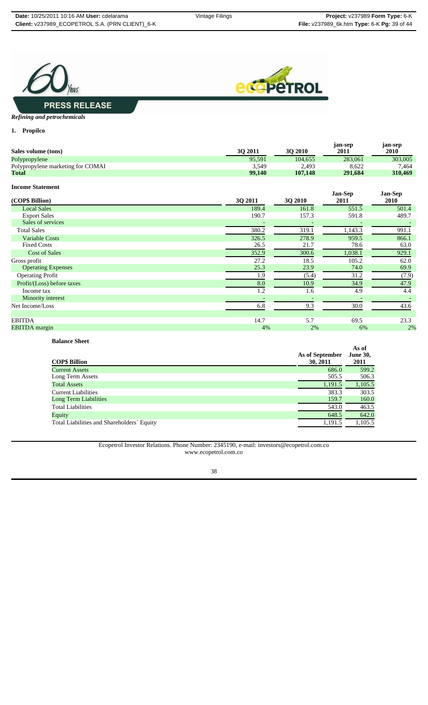



## *Refining and petrochemicals*

**1. Propilco**

| Sales volume (tons)               | 3Q 2011 | 3Q 2010 | jan-sep<br>2011        | jan-sep<br>2010 |
|-----------------------------------|---------|---------|------------------------|-----------------|
| Polypropylene                     | 95,591  | 104,655 | 283,061                | 303,005         |
| Polypropylene marketing for COMAI | 3,549   | 2,493   | 8,622                  | 7,464           |
| <b>Total</b>                      | 99,140  | 107,148 | 291,684                | 310,469         |
| <b>Income Statement</b>           |         |         |                        |                 |
| (COP\$ Billion)                   | 3Q 2011 | 3Q 2010 | <b>Jan-Sep</b><br>2011 | Jan-Sep<br>2010 |
| <b>Local Sales</b>                | 189.4   | 161.8   | 551.5                  | 501.4           |
| <b>Export Sales</b>               | 190.7   | 157.3   | 591.8                  | 489.7           |
| Sales of services                 |         |         |                        |                 |
| <b>Total Sales</b>                | 380.2   | 319.1   | 1,143.3                | 991.1           |
| <b>Variable Costs</b>             | 326.5   | 278.9   | 959.5                  | 866.1           |
| <b>Fixed Costs</b>                | 26.5    | 21.7    | 78.6                   | 63.0            |
| <b>Cost of Sales</b>              | 352.9   | 300.6   | 1,038.1                | 929.1           |
| Gross profit                      | 27.2    | 18.5    | 105.2                  | 62.0            |
| <b>Operating Expenses</b>         | 25.3    | 23.9    | 74.0                   | 69.9            |
| <b>Operating Profit</b>           | 1.9     | (5.4)   | 31.2                   | (7.9)           |
| Profit/(Loss) before taxes        | 8.0     | 10.9    | 34.9                   | 47.9            |
| Income tax                        | 1.2     | 1.6     | 4.9                    | 4.4             |
| Minority interest                 |         |         |                        |                 |
| Net Income/Loss                   | 6.8     | 9.3     | 30.0                   | 43.6            |
|                                   |         |         |                        |                 |
| <b>EBITDA</b>                     | 14.7    | 5.7     | 69.5                   | 23.3            |
| <b>EBITDA</b> margin              | 4%      | 2%      | 6%                     | 2%              |

**Balance Sheet**

| <b>COP\$ Billion</b>                       | As of September<br>30, 2011 | As of<br><b>June 30,</b><br>2011 |
|--------------------------------------------|-----------------------------|----------------------------------|
| <b>Current Assets</b>                      | 686.0                       | 599.2                            |
| Long Term Assets                           | 505.5                       | 506.3                            |
| <b>Total Assets</b>                        | 1,191.5                     | 1,105.5                          |
| <b>Current Liabilities</b>                 | 383.3                       | 303.5                            |
| <b>Long Term Liabilities</b>               | 159.7                       | 160.0                            |
| <b>Total Liabilities</b>                   | 543.0                       | 463.5                            |
| Equity                                     | 648.5                       | 642.0                            |
| Total Liabilities and Shareholders' Equity | 1,191.5                     | 1,105.5                          |

Ecopetrol Investor Relations. Phone Number: 2345190, e-mail: investors@ecopetrol.com.co www.ecopetrol.com.co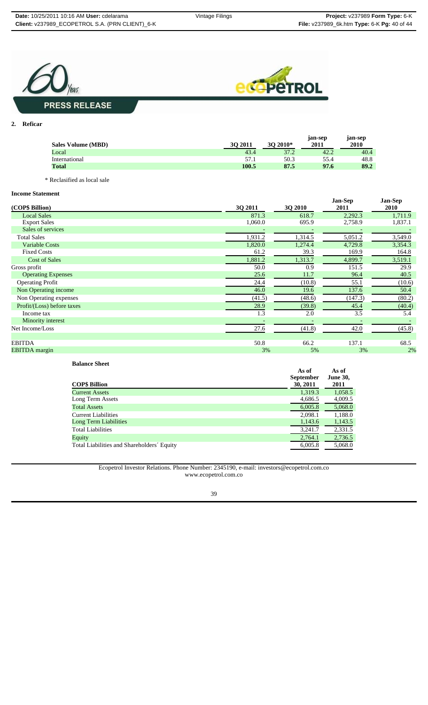



**2. Reficar**

| <b>Sales Volume (MBD)</b> | 30 2011 | 30<br>$2010*$ | <i>s</i> an-sep<br>2011 | jan-sep<br>2010 |
|---------------------------|---------|---------------|-------------------------|-----------------|
| Local                     | 43.4    | 37.2          | 42.2                    | 40.4            |
| International             | 57.1    | 50.3          | 55.4                    | 48.8            |
| <b>Total</b>              | 100.5   | 87.5          | 97.6                    | 89.2            |
|                           |         |               |                         |                 |

\* Reclasified as local sale

## **Income Statement**

| mcome statement            |         |         |                        |                 |
|----------------------------|---------|---------|------------------------|-----------------|
| (COP\$ Billion)            | 3Q 2011 | 3Q 2010 | <b>Jan-Sep</b><br>2011 | Jan-Sep<br>2010 |
| <b>Local Sales</b>         | 871.3   | 618.7   | 2,292.3                | 1,711.9         |
| <b>Export Sales</b>        | 1,060.0 | 695.9   | 2,758.9                | 1,837.1         |
| Sales of services          |         |         |                        |                 |
| <b>Total Sales</b>         | 1,931.2 | 1,314.5 | 5,051.2                | 3,549.0         |
| <b>Variable Costs</b>      | 1,820.0 | 1,274.4 | 4,729.8                | 3,354.3         |
| <b>Fixed Costs</b>         | 61.2    | 39.3    | 169.9                  | 164.8           |
| <b>Cost of Sales</b>       | 1,881.2 | 1,313.7 | 4,899.7                | 3,519.1         |
| Gross profit               | 50.0    | 0.9     | 151.5                  | 29.9            |
| <b>Operating Expenses</b>  | 25.6    | 11.7    | 96.4                   | 40.5            |
| <b>Operating Profit</b>    | 24.4    | (10.8)  | 55.1                   | (10.6)          |
| Non Operating income       | 46.0    | 19.6    | 137.6                  | 50.4            |
| Non Operating expenses     | (41.5)  | (48.6)  | (147.3)                | (80.2)          |
| Profit/(Loss) before taxes | 28.9    | (39.8)  | 45.4                   | (40.4)          |
| Income tax                 | 1.3     | 2.0     | 3.5                    | 5.4             |
| Minority interest          |         |         |                        |                 |
| Net Income/Loss            | 27.6    | (41.8)  | 42.0                   | (45.8)          |
|                            |         |         |                        |                 |
| <b>EBITDA</b>              | 50.8    | 66.2    | 137.1                  | 68.5            |
| <b>EBITDA</b> margin       | 3%      | 5%      | 3%                     | 2%              |

**Balance Sheet** 

| <b>COP\$ Billion</b>                       | As of<br><b>September</b><br>30, 2011 | As of<br><b>June 30,</b><br>2011 |
|--------------------------------------------|---------------------------------------|----------------------------------|
| <b>Current Assets</b>                      | 1,319.3                               | 1,058.5                          |
| Long Term Assets                           | 4,686.5                               | 4,009.5                          |
| <b>Total Assets</b>                        | 6,005.8                               | 5,068.0                          |
| <b>Current Liabilities</b>                 | 2,098.1                               | 1,188.0                          |
| Long Term Liabilities                      | 1,143.6                               | 1,143.5                          |
| <b>Total Liabilities</b>                   | 3,241.7                               | 2,331.5                          |
| Equity                                     | 2,764.1                               | 2,736.5                          |
| Total Liabilities and Shareholders' Equity | 6,005.8                               | 5,068.0                          |

Ecopetrol Investor Relations. Phone Number: 2345190, e-mail: investors@ecopetrol.com.co www.ecopetrol.com.co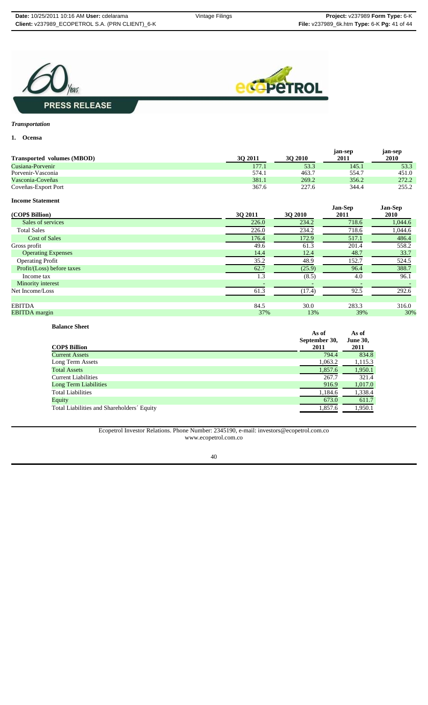



# *Transportation*

## **1. Ocensa**

| <b>Transported volumes (MBOD)</b> | 30 2011 | 30 2010 | jan-sep<br>2011 | jan-sep<br>2010 |
|-----------------------------------|---------|---------|-----------------|-----------------|
| Cusiana-Porvenir                  | 177.1   | 53.3    | 145.1           | 53.3            |
| Porvenir-Vasconia                 | 574.1   | 463.7   | 554.7           | 451.0           |
| Vasconia-Coveñas                  | 381.1   | 269.2   | 356.2           | 272.2           |
| Coveñas-Export Port               | 367.6   | 227.6   | 344.4           | 255.2           |

#### **Income Statement**

| (COP\$ Billion)            | <b>30 2011</b> | <b>3Q 2010</b> | <b>Jan-Sep</b><br>2011 | <b>Jan-Sep</b><br>2010 |
|----------------------------|----------------|----------------|------------------------|------------------------|
| Sales of services          | 226.0          | 234.2          | 718.6                  | 1,044.6                |
| <b>Total Sales</b>         | 226.0          | 234.2          | 718.6                  | 1,044.6                |
| <b>Cost of Sales</b>       | 176.4          | 172.9          | 517.1                  | 486.4                  |
| Gross profit               | 49.6           | 61.3           | 201.4                  | 558.2                  |
| <b>Operating Expenses</b>  | 14.4           | 12.4           | 48.7                   | 33.7                   |
| <b>Operating Profit</b>    | 35.2           | 48.9           | 152.7                  | 524.5                  |
| Profit/(Loss) before taxes | 62.7           | (25.9)         | 96.4                   | 388.7                  |
| Income tax                 | 1.3            | (8.5)          | 4.0                    | 96.1                   |
| Minority interest          |                |                |                        |                        |
| Net Income/Loss            | 61.3           | (17.4)         | 92.5                   | 292.6                  |
|                            |                |                |                        |                        |
| <b>EBITDA</b>              | 84.5           | 30.0           | 283.3                  | 316.0                  |
| <b>EBITDA</b> margin       | 37%            | 13%            | 39%                    | 30%                    |

### **Balance Sheet**

| As of<br>2011 | As of<br><b>June 30,</b><br>2011 |
|---------------|----------------------------------|
| 794.4         | 834.8                            |
| 1,063.2       | 1,115.3                          |
| 1,857.6       | 1,950.1                          |
| 267.7         | 321.4                            |
| 916.9         | 1,017.0                          |
| 1,184.6       | 1,338.4                          |
| 673.0         | 611.7                            |
| 1,857.6       | 1,950.1                          |
|               | September 30,                    |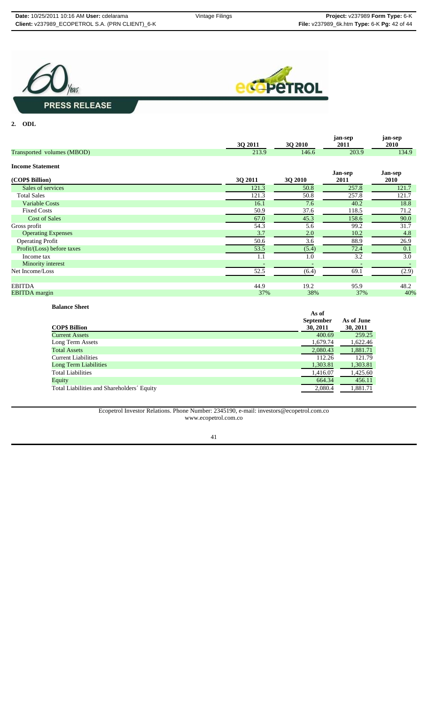



#### **2. ODL**

|                            | 3Q 2011 | 3Q 2010 | jan-sep<br>2011 | jan-sep<br><b>2010</b> |
|----------------------------|---------|---------|-----------------|------------------------|
| Transported volumes (MBOD) | 213.9   | 146.6   | 203.9           | 134.9                  |
| <b>Income Statement</b>    |         |         |                 |                        |
| (COP\$ Billion)            | 3Q 2011 | 3Q 2010 | Jan-sep<br>2011 | Jan-sep<br>2010        |
| Sales of services          | 121.3   | 50.8    | 257.8           | 121.7                  |
| <b>Total Sales</b>         | 121.3   | 50.8    | 257.8           | 121.7                  |
| <b>Variable Costs</b>      | 16.1    | 7.6     | 40.2            | 18.8                   |
| <b>Fixed Costs</b>         | 50.9    | 37.6    | 118.5           | 71.2                   |
| <b>Cost of Sales</b>       | 67.0    | 45.3    | 158.6           | 90.0                   |
| Gross profit               | 54.3    | 5.6     | 99.2            | 31.7                   |
| <b>Operating Expenses</b>  | 3.7     | 2.0     | 10.2            | 4.8                    |
| <b>Operating Profit</b>    | 50.6    | 3.6     | 88.9            | 26.9                   |
| Profit/(Loss) before taxes | 53.5    | (5.4)   | 72.4            | 0.1                    |
| Income tax                 | 1.1     | 1.0     | 3.2             | 3.0                    |
| Minority interest          |         |         |                 |                        |
| Net Income/Loss            | 52.5    | (6.4)   | 69.1            | (2.9)                  |
| <b>EBITDA</b>              | 44.9    | 19.2    | 95.9            | 48.2                   |
| <b>EBITDA</b> margin       | 37%     | 38%     | 37%             | 40%                    |

## **Balance Sheet**

| <b>COP\$ Billion</b>                       | As of<br><b>September</b><br>30, 2011 | As of June<br>30, 2011 |
|--------------------------------------------|---------------------------------------|------------------------|
| <b>Current Assets</b>                      | 400.69                                | 259.25                 |
| Long Term Assets                           | 1,679.74                              | 1,622.46               |
| <b>Total Assets</b>                        | 2,080.43                              | 1,881.71               |
| <b>Current Liabilities</b>                 | 112.26                                | 121.79                 |
| Long Term Liabilities                      | 1,303.81                              | 1,303.81               |
| <b>Total Liabilities</b>                   | 1,416.07                              | 1,425.60               |
| Equity                                     | 664.34                                | 456.11                 |
| Total Liabilities and Shareholders' Equity | 2,080.4                               | 1,881.71               |
|                                            |                                       |                        |

Ecopetrol Investor Relations. Phone Number: 2345190, e-mail: investors@ecopetrol.com.co www.ecopetrol.com.co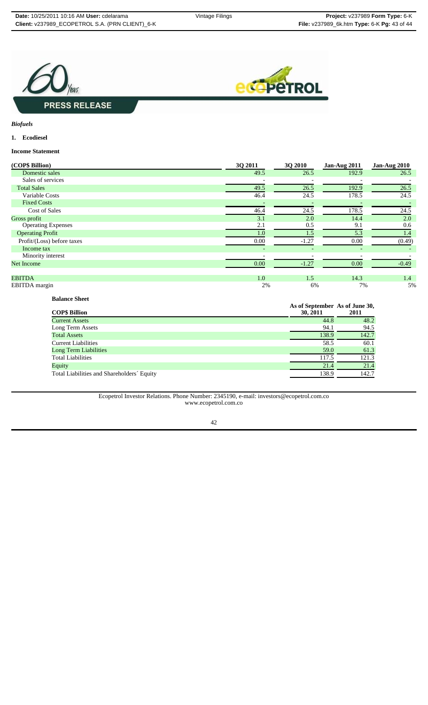



*Biofuels*

## **1. Ecodiesel**

**Income Statement**

| (COP\$ Billion)            | 30 2011                  | 3Q 2010                  | Jan-Aug 2011             | <b>Jan-Aug 2010</b> |
|----------------------------|--------------------------|--------------------------|--------------------------|---------------------|
| Domestic sales             | 49.5                     | 26.5                     | 192.9                    | 26.5                |
| Sales of services          |                          |                          |                          |                     |
| <b>Total Sales</b>         | 49.5                     | 26.5                     | 192.9                    | 26.5                |
| Variable Costs             | 46.4                     | 24.5                     | 178.5                    | 24.5                |
| <b>Fixed Costs</b>         |                          |                          |                          |                     |
| Cost of Sales              | 46.4                     | 24.5                     | 178.5                    | 24.5                |
| Gross profit               | 3.1                      | 2.0                      | 14.4                     | 2.0                 |
| <b>Operating Expenses</b>  | 2.1                      | 0.5                      | 9.1                      | 0.6                 |
| <b>Operating Profit</b>    | 1.0                      | 1.5                      | 5.3                      | 1.4                 |
| Profit/(Loss) before taxes | 0.00                     | $-1.27$                  | 0.00                     | (0.49)              |
| Income tax                 | $\overline{\phantom{a}}$ | $\overline{\phantom{0}}$ | $\overline{\phantom{a}}$ |                     |
| Minority interest          |                          |                          |                          |                     |
| <b>Net Income</b>          | 0.00                     | $-1.27$                  | 0.00                     | $-0.49$             |
|                            |                          |                          |                          |                     |
| <b>EBITDA</b>              | 1.0                      | 1.5                      | 14.3                     | 1.4                 |
| EBITDA margin              | 2%                       | 6%                       | 7%                       | 5%                  |

### **Balance Sheet**

| <b>COP\$ Billion</b>                       | As of September As of June 30,<br>30, 2011 | 2011  |
|--------------------------------------------|--------------------------------------------|-------|
| <b>Current Assets</b>                      | 44.8                                       | 48.2  |
| Long Term Assets                           | 94.1                                       | 94.5  |
| <b>Total Assets</b>                        | 138.9                                      | 142.7 |
| <b>Current Liabilities</b>                 | 58.5                                       | 60.1  |
| <b>Long Term Liabilities</b>               | 59.0                                       | 61.3  |
| <b>Total Liabilities</b>                   | 117.5                                      | 121.3 |
| Equity                                     | 21.4                                       | 21.4  |
| Total Liabilities and Shareholders' Equity | 138.9                                      | 142.7 |

### Ecopetrol Investor Relations. Phone Number: 2345190, e-mail: investors@ecopetrol.com.co www.ecopetrol.com.co